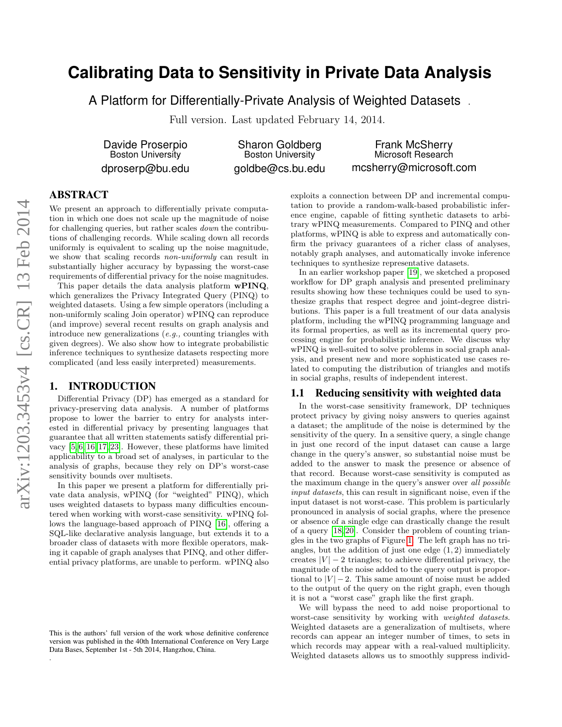# **Calibrating Data to Sensitivity in Private Data Analysis**

A Platform for Differentially-Private Analysis of Weighted Datasets .

Full version. Last updated February 14, 2014.

Davide Proserpio Boston University dproserp@bu.edu

Sharon Goldberg Boston University goldbe@cs.bu.edu

Frank McSherry Microsoft Research mcsherry@microsoft.com

# ABSTRACT

We present an approach to differentially private computation in which one does not scale up the magnitude of noise for challenging queries, but rather scales down the contributions of challenging records. While scaling down all records uniformly is equivalent to scaling up the noise magnitude, we show that scaling records *non-uniformly* can result in substantially higher accuracy by bypassing the worst-case requirements of differential privacy for the noise magnitudes.

This paper details the data analysis platform **wPINQ**, which generalizes the Privacy Integrated Query (PINQ) to weighted datasets. Using a few simple operators (including a non-uniformly scaling Join operator) wPINQ can reproduce (and improve) several recent results on graph analysis and introduce new generalizations (e.g., counting triangles with given degrees). We also show how to integrate probabilistic inference techniques to synthesize datasets respecting more complicated (and less easily interpreted) measurements.

# 1. INTRODUCTION

Differential Privacy (DP) has emerged as a standard for privacy-preserving data analysis. A number of platforms propose to lower the barrier to entry for analysts interested in differential privacy by presenting languages that guarantee that all written statements satisfy differential privacy [\[5,](#page-14-0) [6,](#page-14-1) [16,](#page-14-2) [17,](#page-14-3) [23\]](#page-14-4). However, these platforms have limited applicability to a broad set of analyses, in particular to the analysis of graphs, because they rely on DP's worst-case sensitivity bounds over multisets.

In this paper we present a platform for differentially private data analysis, wPINQ (for "weighted" PINQ), which uses weighted datasets to bypass many difficulties encountered when working with worst-case sensitivity. wPINQ follows the language-based approach of PINQ [\[16\]](#page-14-2), offering a SQL-like declarative analysis language, but extends it to a broader class of datasets with more flexible operators, making it capable of graph analyses that PINQ, and other differential privacy platforms, are unable to perform. wPINQ also exploits a connection between DP and incremental computation to provide a random-walk-based probabilistic inference engine, capable of fitting synthetic datasets to arbitrary wPINQ measurements. Compared to PINQ and other platforms, wPINQ is able to express and automatically confirm the privacy guarantees of a richer class of analyses, notably graph analyses, and automatically invoke inference techniques to synthesize representative datasets.

In an earlier workshop paper [\[19\]](#page-14-5), we sketched a proposed workflow for DP graph analysis and presented preliminary results showing how these techniques could be used to synthesize graphs that respect degree and joint-degree distributions. This paper is a full treatment of our data analysis platform, including the wPINQ programming language and its formal properties, as well as its incremental query processing engine for probabilistic inference. We discuss why wPINQ is well-suited to solve problems in social graph analysis, and present new and more sophisticated use cases related to computing the distribution of triangles and motifs in social graphs, results of independent interest.

## 1.1 Reducing sensitivity with weighted data

In the worst-case sensitivity framework, DP techniques protect privacy by giving noisy answers to queries against a dataset; the amplitude of the noise is determined by the sensitivity of the query. In a sensitive query, a single change in just one record of the input dataset can cause a large change in the query's answer, so substantial noise must be added to the answer to mask the presence or absence of that record. Because worst-case sensitivity is computed as the maximum change in the query's answer over all possible input datasets, this can result in significant noise, even if the input dataset is not worst-case. This problem is particularly pronounced in analysis of social graphs, where the presence or absence of a single edge can drastically change the result of a query [\[18,](#page-14-6) [20\]](#page-14-7). Consider the problem of counting triangles in the two graphs of Figure [1.](#page-1-0) The left graph has no triangles, but the addition of just one edge  $(1, 2)$  immediately creates  $|V| - 2$  triangles; to achieve differential privacy, the magnitude of the noise added to the query output is proportional to  $|V| - 2$ . This same amount of noise must be added to the output of the query on the right graph, even though it is not a "worst case" graph like the first graph.

We will bypass the need to add noise proportional to worst-case sensitivity by working with weighted datasets. Weighted datasets are a generalization of multisets, where records can appear an integer number of times, to sets in which records may appear with a real-valued multiplicity. Weighted datasets allows us to smoothly suppress individ-

.

This is the authors' full version of the work whose definitive conference version was published in the 40th International Conference on Very Large Data Bases, September 1st - 5th 2014, Hangzhou, China.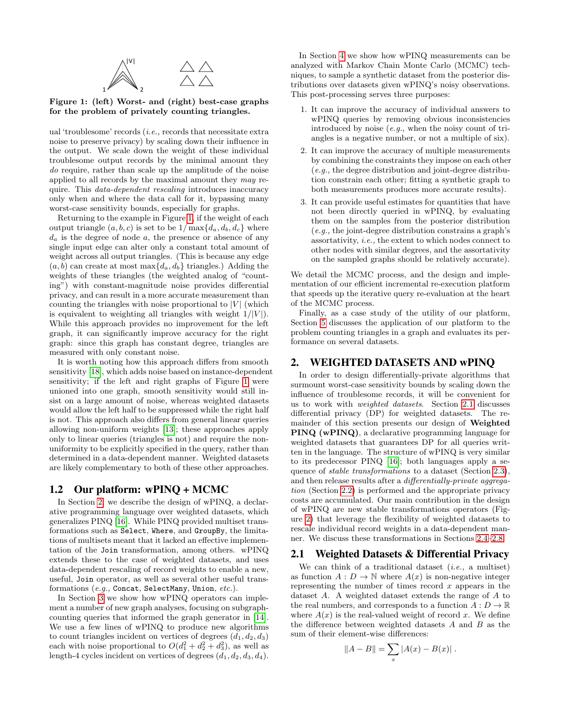<span id="page-1-0"></span>

Figure 1: (left) Worst- and (right) best-case graphs for the problem of privately counting triangles.

ual 'troublesome' records (i.e., records that necessitate extra noise to preserve privacy) by scaling down their influence in the output. We scale down the weight of these individual troublesome output records by the minimal amount they do require, rather than scale up the amplitude of the noise applied to all records by the maximal amount they may require. This *data-dependent rescaling* introduces inaccuracy only when and where the data call for it, bypassing many worst-case sensitivity bounds, especially for graphs.

Returning to the example in Figure [1,](#page-1-0) if the weight of each output triangle  $(a, b, c)$  is set to be  $1/\max\{d_a, d_b, d_c\}$  where  $d_a$  is the degree of node a, the presence or absence of any single input edge can alter only a constant total amount of weight across all output triangles. (This is because any edge  $(a, b)$  can create at most max $\{d_a, d_b\}$  triangles.) Adding the weights of these triangles (the weighted analog of "counting") with constant-magnitude noise provides differential privacy, and can result in a more accurate measurement than counting the triangles with noise proportional to  $|V|$  (which is equivalent to weighting all triangles with weight  $1/|V|$ . While this approach provides no improvement for the left graph, it can significantly improve accuracy for the right graph: since this graph has constant degree, triangles are measured with only constant noise.

It is worth noting how this approach differs from smooth sensitivity [\[18\]](#page-14-6), which adds noise based on instance-dependent sensitivity; if the left and right graphs of Figure [1](#page-1-0) were unioned into one graph, smooth sensitivity would still insist on a large amount of noise, whereas weighted datasets would allow the left half to be suppressed while the right half is not. This approach also differs from general linear queries allowing non-uniform weights [\[13\]](#page-14-8); these approaches apply only to linear queries (triangles is not) and require the nonuniformity to be explicitly specified in the query, rather than determined in a data-dependent manner. Weighted datasets are likely complementary to both of these other approaches.

## 1.2 Our platform: wPINQ + MCMC

In Section [2,](#page-1-1) we describe the design of wPINQ, a declarative programming language over weighted datasets, which generalizes PINQ [\[16\]](#page-14-2). While PINQ provided multiset transformations such as Select, Where, and GroupBy, the limitations of multisets meant that it lacked an effective implementation of the Join transformation, among others. wPINQ extends these to the case of weighted datasets, and uses data-dependent rescaling of record weights to enable a new, useful, Join operator, as well as several other useful transformations (e.g., Concat, SelectMany, Union, etc.).

In Section [3](#page-5-0) we show how wPINQ operators can implement a number of new graph analyses, focusing on subgraphcounting queries that informed the graph generator in [\[14\]](#page-14-9). We use a few lines of wPINQ to produce new algorithms to count triangles incident on vertices of degrees  $(d_1, d_2, d_3)$ each with noise proportional to  $O(d_1^2 + d_2^2 + d_3^2)$ , as well as length-4 cycles incident on vertices of degrees  $(d_1, d_2, d_3, d_4)$ .

In Section [4](#page-8-0) we show how wPINQ measurements can be analyzed with Markov Chain Monte Carlo (MCMC) techniques, to sample a synthetic dataset from the posterior distributions over datasets given wPINQ's noisy observations. This post-processing serves three purposes:

- 1. It can improve the accuracy of individual answers to wPINQ queries by removing obvious inconsistencies introduced by noise (e.g., when the noisy count of triangles is a negative number, or not a multiple of six).
- 2. It can improve the accuracy of multiple measurements by combining the constraints they impose on each other (e.g., the degree distribution and joint-degree distribution constrain each other; fitting a synthetic graph to both measurements produces more accurate results).
- 3. It can provide useful estimates for quantities that have not been directly queried in wPINQ, by evaluating them on the samples from the posterior distribution (e.g., the joint-degree distribution constrains a graph's assortativity, i.e., the extent to which nodes connect to other nodes with similar degrees, and the assortativity on the sampled graphs should be relatively accurate).

We detail the MCMC process, and the design and implementation of our efficient incremental re-execution platform that speeds up the iterative query re-evaluation at the heart of the MCMC process.

Finally, as a case study of the utility of our platform, Section [5](#page-10-0) discusses the application of our platform to the problem counting triangles in a graph and evaluates its performance on several datasets.

### <span id="page-1-1"></span>2. WEIGHTED DATASETS AND wPINQ

In order to design differentially-private algorithms that surmount worst-case sensitivity bounds by scaling down the influence of troublesome records, it will be convenient for us to work with weighted datasets. Section [2.1](#page-1-2) discusses differential privacy (DP) for weighted datasets. The remainder of this section presents our design of Weighted PINQ (wPINQ), a declarative programming language for weighted datasets that guarantees DP for all queries written in the language. The structure of wPINQ is very similar to its predecessor PINQ [\[16\]](#page-14-2); both languages apply a sequence of stable transformations to a dataset (Section [2.3\)](#page-2-0), and then release results after a differentially-private aggregation (Section [2.2\)](#page-2-1) is performed and the appropriate privacy costs are accumulated. Our main contribution in the design of wPINQ are new stable transformations operators (Figure [2\)](#page-2-2) that leverage the flexibility of weighted datasets to rescale individual record weights in a data-dependent manner. We discuss these transformations in Sections [2.4–](#page-3-0)[2.8.](#page-4-0)

# <span id="page-1-2"></span>2.1 Weighted Datasets & Differential Privacy

We can think of a traditional dataset  $(i.e., a$  multiset) as function  $A: D \to \mathbb{N}$  where  $A(x)$  is non-negative integer representing the number of times record  $x$  appears in the dataset A. A weighted dataset extends the range of A to the real numbers, and corresponds to a function  $A: D \to \mathbb{R}$ where  $A(x)$  is the real-valued weight of record x. We define the difference between weighted datasets A and B as the sum of their element-wise differences:

$$
||A - B|| = \sum_{x} |A(x) - B(x)|.
$$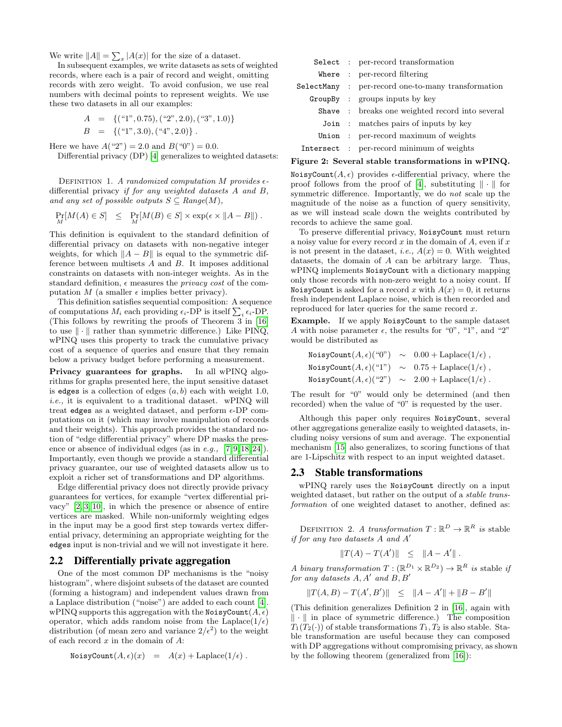We write  $||A|| = \sum_x |A(x)|$  for the size of a dataset.

In subsequent examples, we write datasets as sets of weighted records, where each is a pair of record and weight, omitting records with zero weight. To avoid confusion, we use real numbers with decimal points to represent weights. We use these two datasets in all our examples:

$$
A = \{ (*1", 0.75), (*2", 2.0), (*3", 1.0) \}
$$
  

$$
B = \{ (*1", 3.0), (*4", 2.0) \}.
$$

Here we have  $A("2") = 2.0$  and  $B("0") = 0.0$ .

Differential privacy (DP) [\[4\]](#page-14-10) generalizes to weighted datasets:

DEFINITION 1. A randomized computation M provides  $\epsilon$ differential privacy if for any weighted datasets A and B, and any set of possible outputs  $S \subseteq Range(M)$ ,

$$
\Pr_M[M(A) \in S] \leq \Pr_M[M(B) \in S] \times \exp(\epsilon \times ||A - B||).
$$

This definition is equivalent to the standard definition of differential privacy on datasets with non-negative integer weights, for which  $||A - B||$  is equal to the symmetric difference between multisets  $A$  and  $B$ . It imposes additional constraints on datasets with non-integer weights. As in the standard definition,  $\epsilon$  measures the *privacy cost* of the computation M (a smaller  $\epsilon$  implies better privacy).

This definition satisfies sequential composition: A sequence of computations  $M_i$  each providing  $\epsilon_i$ -DP is itself  $\sum_i \epsilon_i$ -DP. (This follows by rewriting the proofs of Theorem  $3$  in [\[16\]](#page-14-2) to use  $\|\cdot\|$  rather than symmetric difference.) Like PINQ, wPINQ uses this property to track the cumulative privacy cost of a sequence of queries and ensure that they remain below a privacy budget before performing a measurement.

Privacy guarantees for graphs. In all wPINQ algorithms for graphs presented here, the input sensitive dataset is edges is a collection of edges  $(a, b)$  each with weight 1.0, i.e., it is equivalent to a traditional dataset. wPINQ will treat edges as a weighted dataset, and perform  $\epsilon$ -DP computations on it (which may involve manipulation of records and their weights). This approach provides the standard notion of "edge differential privacy" where DP masks the pres-ence or absence of individual edges (as in e.g., [\[7,](#page-14-11)9,18,24]). Importantly, even though we provide a standard differential privacy guarantee, our use of weighted datasets allow us to exploit a richer set of transformations and DP algorithms.

Edge differential privacy does not directly provide privacy guarantees for vertices, for example "vertex differential privacy" [\[2,](#page-14-14) [3,](#page-14-15) [10\]](#page-14-16), in which the presence or absence of entire vertices are masked. While non-uniformly weighting edges in the input may be a good first step towards vertex differential privacy, determining an appropriate weighting for the edges input is non-trivial and we will not investigate it here.

## <span id="page-2-1"></span>2.2 Differentially private aggregation

One of the most common DP mechanisms is the "noisy histogram", where disjoint subsets of the dataset are counted (forming a histogram) and independent values drawn from a Laplace distribution ("noise") are added to each count [\[4\]](#page-14-10). wPINQ supports this aggregation with the NoisyCount $(A, \epsilon)$ operator, which adds random noise from the Laplace( $1/\epsilon$ ) distribution (of mean zero and variance  $2/\epsilon^2$ ) to the weight of each record  $x$  in the domain of  $A$ :

$$
\mathtt{NoisyCount}(A, \epsilon)(x) = A(x) + \mathrm{Laplace}(1/\epsilon).
$$

|  | Select : per-record transformation                 |  |  |
|--|----------------------------------------------------|--|--|
|  | Where : $per-record$ filtering                     |  |  |
|  | SelectMany : per-record one-to-many transformation |  |  |
|  | GroupBy: groups inputs by key                      |  |  |
|  | Shave : breaks one weighted record into several    |  |  |
|  | Join : matches pairs of inputs by key              |  |  |
|  | Union : per-record maximum of weights              |  |  |
|  | Intersect : per-record minimum of weights          |  |  |

<span id="page-2-2"></span>Figure 2: Several stable transformations in wPINQ.

NoisyCount $(A, \epsilon)$  provides  $\epsilon$ -differential privacy, where the proof follows from the proof of [\[4\]](#page-14-10), substituting  $\|\cdot\|$  for symmetric difference. Importantly, we do not scale up the magnitude of the noise as a function of query sensitivity, as we will instead scale down the weights contributed by records to achieve the same goal.

To preserve differential privacy, NoisyCount must return a noisy value for every record  $x$  in the domain of  $A$ , even if  $x$ is not present in the dataset, *i.e.*,  $A(x) = 0$ . With weighted datasets, the domain of A can be arbitrary large. Thus, wPINQ implements NoisyCount with a dictionary mapping only those records with non-zero weight to a noisy count. If NoisyCount is asked for a record x with  $A(x) = 0$ , it returns fresh independent Laplace noise, which is then recorded and reproduced for later queries for the same record x.

Example. If we apply NoisyCount to the sample dataset A with noise parameter  $\epsilon$ , the results for "0", "1", and "2" would be distributed as

NoisyCount
$$
(A, \epsilon)
$$
("0")  $\sim 0.00 + \text{Laplace}(1/\epsilon)$ ,  
NoisyCount $(A, \epsilon)$ ("1")  $\sim 0.75 + \text{Laplace}(1/\epsilon)$ ,  
NoisyCount $(A, \epsilon)$ ("2")  $\sim 2.00 + \text{Laplace}(1/\epsilon)$ .

The result for "0" would only be determined (and then recorded) when the value of "0" is requested by the user.

Although this paper only requires NoisyCount, several other aggregations generalize easily to weighted datasets, including noisy versions of sum and average. The exponential mechanism [\[15\]](#page-14-17) also generalizes, to scoring functions of that are 1-Lipschitz with respect to an input weighted dataset.

#### <span id="page-2-0"></span>2.3 Stable transformations

wPINQ rarely uses the NoisyCount directly on a input weighted dataset, but rather on the output of a stable transformation of one weighted dataset to another, defined as:

DEFINITION 2. A transformation  $T: \mathbb{R}^D \to \mathbb{R}^R$  is stable if for any two datasets  $A$  and  $A'$ 

$$
||T(A) - T(A')|| \le ||A - A'||.
$$

A binary transformation  $T : (\mathbb{R}^{D_1} \times \mathbb{R}^{D_2}) \to \mathbb{R}^R$  is stable if for any datasets  $A, A'$  and  $B, B'$ 

$$
||T(A, B) - T(A', B')|| \le ||A - A'|| + ||B - B'||
$$

(This definition generalizes Definition 2 in [\[16\]](#page-14-2), again with  $\|\cdot\|$  in place of symmetric difference.) The composition  $T_1(T_2(\cdot))$  of stable transformations  $T_1, T_2$  is also stable. Stable transformation are useful because they can composed with DP aggregations without compromising privacy, as shown by the following theorem (generalized from [\[16\]](#page-14-2)):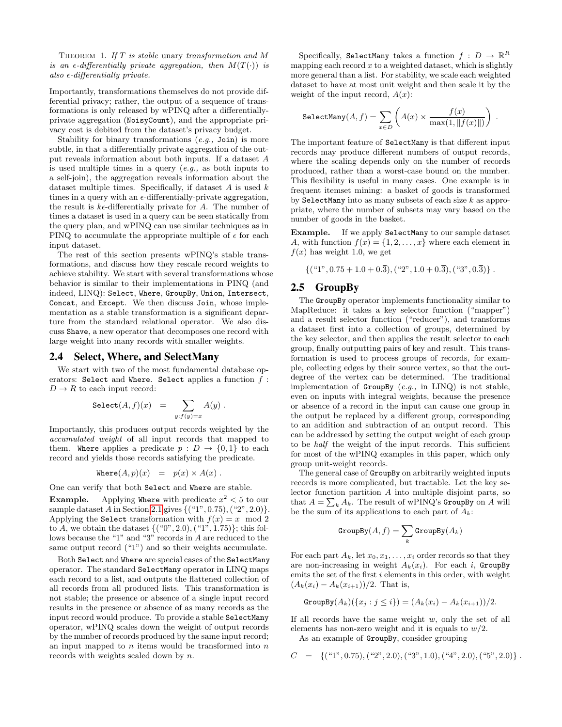THEOREM 1. If  $T$  is stable unary transformation and  $M$ is an  $\epsilon$ -differentially private aggregation, then  $M(T(\cdot))$  is also  $\epsilon$ -differentially private.

Importantly, transformations themselves do not provide differential privacy; rather, the output of a sequence of transformations is only released by wPINQ after a differentiallyprivate aggregation (NoisyCount), and the appropriate privacy cost is debited from the dataset's privacy budget.

Stability for binary transformations  $(e.g., Join)$  is more subtle, in that a differentially private aggregation of the output reveals information about both inputs. If a dataset A is used multiple times in a query  $(e.g.,$  as both inputs to a self-join), the aggregation reveals information about the dataset multiple times. Specifically, if dataset  $A$  is used  $k$ times in a query with an  $\epsilon$ -differentially-private aggregation, the result is  $k\epsilon$ -differentially private for  $A$ . The number of times a dataset is used in a query can be seen statically from the query plan, and wPINQ can use similar techniques as in PINQ to accumulate the appropriate multiple of  $\epsilon$  for each input dataset.

The rest of this section presents wPINQ's stable transformations, and discuss how they rescale record weights to achieve stability. We start with several transformations whose behavior is similar to their implementations in PINQ (and indeed, LINQ): Select, Where, GroupBy, Union, Intersect, Concat, and Except. We then discuss Join, whose implementation as a stable transformation is a significant departure from the standard relational operator. We also discuss Shave, a new operator that decomposes one record with large weight into many records with smaller weights.

# <span id="page-3-0"></span>2.4 Select, Where, and SelectMany

We start with two of the most fundamental database operators: Select and Where. Select applies a function  $f$ :  $D \to R$  to each input record:

$$
\texttt{Select}(A, f)(x) = \sum_{y: f(y)=x} A(y) .
$$

Importantly, this produces output records weighted by the accumulated weight of all input records that mapped to them. Where applies a predicate  $p : D \to \{0, 1\}$  to each record and yields those records satisfying the predicate.

$$
\mathtt{Where}(A,p)(x) = p(x) \times A(x) .
$$

One can verify that both Select and Where are stable.

**Example.** Applying Where with predicate  $x^2 < 5$  to our sample dataset A in Section [2.1](#page-1-2) gives  $\{({\text{``1''}, 0.75}),({\text{``2''}}, 2.0)\}.$ Applying the Select transformation with  $f(x) = x \mod 2$ to A, we obtain the dataset  $\{(``0", 2.0), ("1", 1.75)\};$  this follows because the "1" and "3" records in A are reduced to the same output record ("1") and so their weights accumulate.

Both Select and Where are special cases of the SelectMany operator. The standard SelectMany operator in LINQ maps each record to a list, and outputs the flattened collection of all records from all produced lists. This transformation is not stable; the presence or absence of a single input record results in the presence or absence of as many records as the input record would produce. To provide a stable SelectMany operator, wPINQ scales down the weight of output records by the number of records produced by the same input record; an input mapped to  $n$  items would be transformed into  $n$ records with weights scaled down by n.

Specifically, SelectMany takes a function  $f\,:\,D\,\rightarrow\,\mathbb{R}^R$ mapping each record  $x$  to a weighted dataset, which is slightly more general than a list. For stability, we scale each weighted dataset to have at most unit weight and then scale it by the weight of the input record,  $A(x)$ :

$$
\text{SelectMany}(A, f) = \sum_{x \in D} \left( A(x) \times \frac{f(x)}{\max(1, \|f(x)\|)} \right) \; .
$$

The important feature of SelectMany is that different input records may produce different numbers of output records, where the scaling depends only on the number of records produced, rather than a worst-case bound on the number. This flexibility is useful in many cases. One example is in frequent itemset mining: a basket of goods is transformed by SelectMany into as many subsets of each size  $k$  as appropriate, where the number of subsets may vary based on the number of goods in the basket.

Example. If we apply SelectMany to our sample dataset A, with function  $f(x) = \{1, 2, \ldots, x\}$  where each element in  $f(x)$  has weight 1.0, we get

 $\{({}^{\omega}1", 0.75 + 1.0 + 0.\overline{3}),({}^{\omega}2", 1.0 + 0.\overline{3}),({}^{\omega}3", 0.\overline{3})\}$ .

# <span id="page-3-1"></span>2.5 GroupBy

The GroupBy operator implements functionality similar to MapReduce: it takes a key selector function ("mapper") and a result selector function ("reducer"), and transforms a dataset first into a collection of groups, determined by the key selector, and then applies the result selector to each group, finally outputting pairs of key and result. This transformation is used to process groups of records, for example, collecting edges by their source vertex, so that the outdegree of the vertex can be determined. The traditional implementation of  $GroupBy$  (e.g., in LINQ) is not stable, even on inputs with integral weights, because the presence or absence of a record in the input can cause one group in the output be replaced by a different group, corresponding to an addition and subtraction of an output record. This can be addressed by setting the output weight of each group to be half the weight of the input records. This sufficient for most of the wPINQ examples in this paper, which only group unit-weight records.

The general case of GroupBy on arbitrarily weighted inputs records is more complicated, but tractable. Let the key selector function partition A into multiple disjoint parts, so that  $A = \sum_{k} A_k$ . The result of wPINQ's GroupBy on A will be the sum of its applications to each part of  $A_k$ :

$$
\texttt{GroupBy}(A,f)=\sum_k \texttt{GroupBy}(A_k)
$$

For each part  $A_k$ , let  $x_0, x_1, \ldots, x_i$  order records so that they are non-increasing in weight  $A_k(x_i)$ . For each i, GroupBy emits the set of the first  $i$  elements in this order, with weight  $(A_k(x_i) - A_k(x_{i+1}))/2$ . That is,

GroupBy
$$
(A_k)(\{x_j : j \leq i\}) = (A_k(x_i) - A_k(x_{i+1}))/2.
$$

If all records have the same weight  $w$ , only the set of all elements has non-zero weight and it is equals to  $w/2$ .

As an example of GroupBy, consider grouping

$$
C = \{ (*1", 0.75), (*2", 2.0), (*3", 1.0), (*4", 2.0), (*5", 2.0) \}.
$$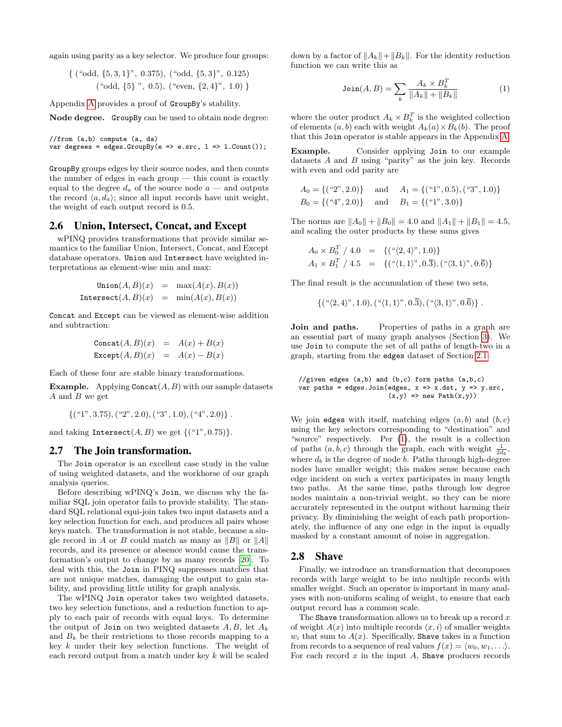again using parity as a key selector. We produce four groups:

 ${ ($  "odd, {5, 3, 1}", 0.375), ("odd,  ${5, 3}", 0.125)$  $({}^{\omega}odd, \{5\}$  ", 0.5),  $({}^{\omega}even, \{2,4\}$ ", 1.0) }

Appendix [A](#page-14-18) provides a proof of GroupBy's stability.

Node degree. GroupBy can be used to obtain node degree:

```
//from (a,b) compute (a, da)
var degrees = edges.GroupBy(e => e.src, l => l.Count());
```
GroupBy groups edges by their source nodes, and then counts the number of edges in each group — this count is exactly equal to the degree  $d_a$  of the source node  $a$  — and outputs the record  $\langle a, d_a \rangle$ ; since all input records have unit weight, the weight of each output record is 0.5.

# 2.6 Union, Intersect, Concat, and Except

wPINQ provides transformations that provide similar semantics to the familiar Union, Intersect, Concat, and Except database operators. Union and Intersect have weighted interpretations as element-wise min and max:

$$
\begin{array}{rcl} \texttt{Union}(A,B)(x) & = & \max(A(x),B(x)) \\ \texttt{Interest}(A,B)(x) & = & \min(A(x),B(x)) \end{array}
$$

Concat and Except can be viewed as element-wise addition and subtraction:

$$
Concat(A, B)(x) = A(x) + B(x)
$$
  
Except $(A, B)(x) = A(x) - B(x)$ 

Each of these four are stable binary transformations.

**Example.** Applying  $Concat(A, B)$  with our sample datasets A and B we get

$$
\{({}``1", 3.75), ({}``2", 2.0), ({}``3", 1.0), ({}``4", 2.0)\}.
$$

and taking  $Interest(A, B)$  we get  $\{(``1", 0.75)\}.$ 

#### <span id="page-4-2"></span>2.7 The Join transformation.

The Join operator is an excellent case study in the value of using weighted datasets, and the workhorse of our graph analysis queries.

Before describing wPINQ's Join, we discuss why the familiar SQL join operator fails to provide stability. The standard SQL relational equi-join takes two input datasets and a key selection function for each, and produces all pairs whose keys match. The transformation is not stable, because a single record in A or B could match as many as  $||B||$  or  $||A||$ records, and its presence or absence would cause the transformation's output to change by as many records [\[20\]](#page-14-7). To deal with this, the Join in PINQ suppresses matches that are not unique matches, damaging the output to gain stability, and providing little utility for graph analysis.

The wPINQ Join operator takes two weighted datasets, two key selection functions, and a reduction function to apply to each pair of records with equal keys. To determine the output of Join on two weighted datasets  $A, B$ , let  $A_k$ and  $B_k$  be their restrictions to those records mapping to a key  $k$  under their key selection functions. The weight of each record output from a match under key k will be scaled

down by a factor of  $||A_k||+||B_k||$ . For the identity reduction function we can write this as

<span id="page-4-1"></span>
$$
Join(A, B) = \sum_{k} \frac{A_k \times B_k^T}{\|A_k\| + \|B_k\|}
$$
(1)

where the outer product  $A_k \times B_k^T$  is the weighted collection of elements  $(a, b)$  each with weight  $A_k(a) \times B_k(b)$ . The proof that this Join operator is stable appears in the Appendix [A.](#page-14-18)

Example. Consider applying Join to our example datasets  $A$  and  $B$  using "parity" as the join key. Records with even and odd parity are

$$
A_0 = \{ (*2", 2.0) \} \text{ and } A_1 = \{ (*1", 0.5), (*3", 1.0) \}
$$
  
\n
$$
B_0 = \{ (*4", 2.0) \} \text{ and } B_1 = \{ (*1", 3.0) \}
$$

The norms are  $||A_0|| + ||B_0|| = 4.0$  and  $||A_1|| + ||B_1|| = 4.5$ , and scaling the outer products by these sums gives

$$
A_0 \times B_0^T / 4.0 = \{ (" \langle 2, 4 \rangle", 1.0) \}
$$
  

$$
A_1 \times B_1^T / 4.5 = \{ (" \langle 1, 1 \rangle", 0.3), (" \langle 3, 1 \rangle", 0.6) \}
$$

The final result is the accumulation of these two sets,

$$
\{({}``\langle 2,4 \rangle", 1.0),({}``\langle 1,1 \rangle", 0.\overline{3}),({}``\langle 3,1 \rangle", 0.\overline{6})\}.
$$

Join and paths. Properties of paths in a graph are an essential part of many graph analyses (Section [3\)](#page-5-0). We use Join to compute the set of all paths of length-two in a graph, starting from the edges dataset of Section [2.1:](#page-1-2)

//given edges (a,b) and (b,c) form paths (a,b,c) var paths = edges.Join(edges,  $x = \times x$ .dst,  $y = \times y$ .src,  $(x,y) \Rightarrow$  new Path $(x,y)$ )

We join edges with itself, matching edges  $(a, b)$  and  $(b, c)$ using the key selectors corresponding to "destination" and "source" respectively. Per [\(1\)](#page-4-1), the result is a collection of paths  $(a, b, c)$  through the graph, each with weight  $\frac{1}{2d_b}$ , where  $d_b$  is the degree of node b. Paths through high-degree nodes have smaller weight; this makes sense because each edge incident on such a vertex participates in many length two paths. At the same time, paths through low degree nodes maintain a non-trivial weight, so they can be more accurately represented in the output without harming their privacy. By diminishing the weight of each path proportionately, the influence of any one edge in the input is equally masked by a constant amount of noise in aggregation.

#### <span id="page-4-0"></span>2.8 Shave

Finally, we introduce an transformation that decomposes records with large weight to be into multiple records with smaller weight. Such an operator is important in many analyses with non-uniform scaling of weight, to ensure that each output record has a common scale.

The Shave transformation allows us to break up a record  $x$ of weight  $A(x)$  into multiple records  $\langle x, i \rangle$  of smaller weights  $w_i$  that sum to  $A(x)$ . Specifically, Shave takes in a function from records to a sequence of real values  $f(x) = \langle w_0, w_1, \ldots \rangle$ . For each record  $x$  in the input  $A$ , **Shave** produces records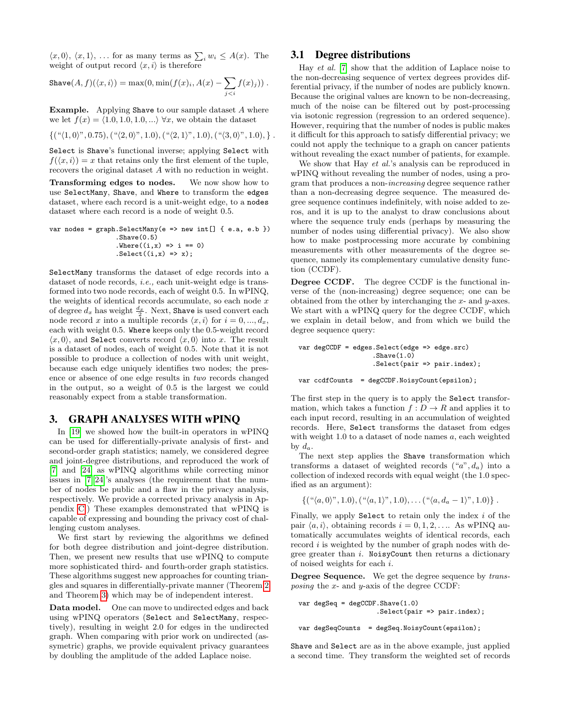$\langle x, 0 \rangle$ ,  $\langle x, 1 \rangle$ , ... for as many terms as  $\sum_i w_i \leq A(x)$ . The weight of output record  $\langle x, i \rangle$  is therefore

$$
\text{Shave}(A, f)(\langle x, i \rangle) = \max(0, \min(f(x)_i, A(x) - \sum_{j
$$

Example. Applying Shave to our sample dataset A where we let  $f(x) = \langle 1.0, 1.0, 1.0, \ldots \rangle \ \forall x$ , we obtain the dataset  $(1, 0)$  ,  $(2, 0)$  ,  $(3, 0)$ ,  $(4, 0)$ ,  $(4, 0)$ ,  $(4, 0)$ 

$$
\{({\ll} \langle 1,0 \rangle", 0.75), ({\ll} \langle 2,0 \rangle", 1.0), ({\ll} \langle 2,1 \rangle", 1.0), ({\ll} \langle 3,0 \rangle", 1.0),\}
$$

Select is Shave's functional inverse; applying Select with  $f(\langle x, i \rangle) = x$  that retains only the first element of the tuple, recovers the original dataset A with no reduction in weight.

Transforming edges to nodes. We now show how to use SelectMany, Shave, and Where to transform the edges dataset, where each record is a unit-weight edge, to a nodes dataset where each record is a node of weight 0.5.

```
var nodes = graph.SelectMany(e => new int[] { e.a, e.b })
                    .Shave(0.5)
                    .Where((i, x) \implies i == 0)
                    .Select((i,x) \Rightarrow x);
```
SelectMany transforms the dataset of edge records into a dataset of node records, *i.e.*, each unit-weight edge is transformed into two node records, each of weight 0.5. In wPINQ, the weights of identical records accumulate, so each node  $x$ of degree  $d_x$  has weight  $\frac{d_x}{2}$ . Next, Shave is used convert each node record x into a multiple records  $\langle x, i \rangle$  for  $i = 0, ..., d_x$ , each with weight 0.5. Where keeps only the 0.5-weight record  $\langle x, 0 \rangle$ , and Select converts record  $\langle x, 0 \rangle$  into x. The result is a dataset of nodes, each of weight 0.5. Note that it is not possible to produce a collection of nodes with unit weight, because each edge uniquely identifies two nodes; the presence or absence of one edge results in two records changed in the output, so a weight of 0.5 is the largest we could reasonably expect from a stable transformation.

## <span id="page-5-0"></span>3. GRAPH ANALYSES WITH wPINQ

In [\[19\]](#page-14-5) we showed how the built-in operators in wPINQ can be used for differentially-private analysis of first- and second-order graph statistics; namely, we considered degree and joint-degree distributions, and reproduced the work of [\[7\]](#page-14-11) and [\[24\]](#page-14-13) as wPINQ algorithms while correcting minor issues in [\[7,](#page-14-11) [24\]](#page-14-13)'s analyses (the requirement that the number of nodes be public and a flaw in the privacy analysis, respectively. We provide a corrected privacy analysis in Appendix [C.](#page-16-0)) These examples demonstrated that wPINQ is capable of expressing and bounding the privacy cost of challenging custom analyses.

We first start by reviewing the algorithms we defined for both degree distribution and joint-degree distribution. Then, we present new results that use wPINQ to compute more sophisticated third- and fourth-order graph statistics. These algorithms suggest new approaches for counting triangles and squares in differentially-private manner (Theorem [2](#page-7-0) and Theorem [3\)](#page-8-1) which may be of independent interest.

Data model. One can move to undirected edges and back using wPINQ operators (Select and SelectMany, respectively), resulting in weight 2.0 for edges in the undirected graph. When comparing with prior work on undirected (assymetric) graphs, we provide equivalent privacy guarantees by doubling the amplitude of the added Laplace noise.

# 3.1 Degree distributions

Hay et al. [\[7\]](#page-14-11) show that the addition of Laplace noise to the non-decreasing sequence of vertex degrees provides differential privacy, if the number of nodes are publicly known. Because the original values are known to be non-decreasing, much of the noise can be filtered out by post-processing via isotonic regression (regression to an ordered sequence). However, requiring that the number of nodes is public makes it difficult for this approach to satisfy differential privacy; we could not apply the technique to a graph on cancer patients without revealing the exact number of patients, for example.

We show that Hay *et al.*'s analysis can be reproduced in wPINQ without revealing the number of nodes, using a program that produces a non-increasing degree sequence rather than a non-decreasing degree sequence. The measured degree sequence continues indefinitely, with noise added to zeros, and it is up to the analyst to draw conclusions about where the sequence truly ends (perhaps by measuring the number of nodes using differential privacy). We also show how to make postprocessing more accurate by combining measurements with other measurements of the degree sequence, namely its complementary cumulative density function (CCDF).

Degree CCDF. The degree CCDF is the functional inverse of the (non-increasing) degree sequence; one can be obtained from the other by interchanging the  $x$ - and  $y$ -axes. We start with a wPINQ query for the degree CCDF, which we explain in detail below, and from which we build the degree sequence query:

```
var degCCDF = edges.Select(edge => edge.src)
                   .Shave(1.0)
                   .Select(pair => pair.index);
```

```
var ccdfCounts = degCCDF.NoisyCount(epsilon);
```
The first step in the query is to apply the Select transformation, which takes a function  $f: D \to R$  and applies it to each input record, resulting in an accumulation of weighted records. Here, Select transforms the dataset from edges with weight  $1.0$  to a dataset of node names  $a$ , each weighted by  $d_a$ .

The next step applies the Shave transformation which transforms a dataset of weighted records  $({}^{\alpha}a^{\gamma}, d_a)$  into a collection of indexed records with equal weight (the 1.0 specified as an argument):

$$
\{({}``\langle a,0\rangle",1.0),({}``\langle a,1\rangle",1.0),\ldots({}``\langle a,d_a-1\rangle",1.0)\}.
$$

Finally, we apply Select to retain only the index  $i$  of the pair  $\langle a, i \rangle$ , obtaining records  $i = 0, 1, 2, \ldots$  As wPINQ automatically accumulates weights of identical records, each record  $i$  is weighted by the number of graph nodes with degree greater than i. NoisyCount then returns a dictionary of noised weights for each i.

Degree Sequence. We get the degree sequence by trans*posing* the  $x$ - and  $y$ -axis of the degree CCDF:

```
var degSeq = degCCDF.Shave(1.0)
                    .Select(pair => pair.index);
var degSeqCounts = degSeq.NoisyCount(epsilon);
```
Shave and Select are as in the above example, just applied a second time. They transform the weighted set of records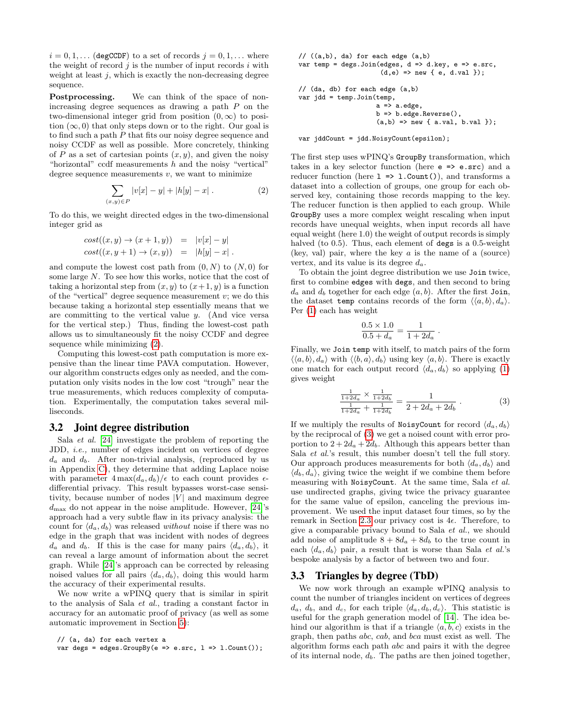$i = 0, 1, \ldots$  (degCCDF) to a set of records  $j = 0, 1, \ldots$  where the weight of record  $j$  is the number of input records  $i$  with weight at least  $j$ , which is exactly the non-decreasing degree sequence.

Postprocessing. We can think of the space of nonincreasing degree sequences as drawing a path P on the two-dimensional integer grid from position  $(0, \infty)$  to position  $(\infty, 0)$  that only steps down or to the right. Our goal is to find such a path  $P$  that fits our noisy degree sequence and noisy CCDF as well as possible. More concretely, thinking of P as a set of cartesian points  $(x, y)$ , and given the noisy "horizontal" ccdf measurements  $h$  and the noisy "vertical" degree sequence measurements  $v$ , we want to minimize

<span id="page-6-0"></span>
$$
\sum_{(x,y)\in P} |v[x] - y| + |h[y] - x| \ . \tag{2}
$$

To do this, we weight directed edges in the two-dimensional integer grid as

$$
cost((x, y) \rightarrow (x + 1, y)) = |v[x] - y|
$$
  

$$
cost((x, y + 1) \rightarrow (x, y)) = |h[y] - x|.
$$

and compute the lowest cost path from  $(0, N)$  to  $(N, 0)$  for some large N. To see how this works, notice that the cost of taking a horizontal step from  $(x, y)$  to  $(x + 1, y)$  is a function of the "vertical" degree sequence measurement  $v$ ; we do this because taking a horizontal step essentially means that we are committing to the vertical value  $y$ . (And vice versa for the vertical step.) Thus, finding the lowest-cost path allows us to simultaneously fit the noisy CCDF and degree sequence while minimizing [\(2\)](#page-6-0).

Computing this lowest-cost path computation is more expensive than the linear time PAVA computation. However, our algorithm constructs edges only as needed, and the computation only visits nodes in the low cost "trough" near the true measurements, which reduces complexity of computation. Experimentally, the computation takes several milliseconds.

#### 3.2 Joint degree distribution

Sala et al. [\[24\]](#page-14-13) investigate the problem of reporting the JDD, i.e., number of edges incident on vertices of degree  $d_a$  and  $d_b$ . After non-trivial analysis, (reproduced by us in Appendix [C\)](#page-16-0), they determine that adding Laplace noise with parameter  $4 \max(d_a, d_b)/\epsilon$  to each count provides  $\epsilon$ differential privacy. This result bypasses worst-case sensitivity, because number of nodes  $|V|$  and maximum degree  $d_{\text{max}}$  do not appear in the noise amplitude. However, [\[24\]](#page-14-13)'s approach had a very subtle flaw in its privacy analysis: the count for  $\langle d_a, d_b \rangle$  was released without noise if there was no edge in the graph that was incident with nodes of degrees  $d_a$  and  $d_b$ . If this is the case for many pairs  $\langle d_a, d_b \rangle$ , it can reveal a large amount of information about the secret graph. While [\[24\]](#page-14-13)'s approach can be corrected by releasing noised values for all pairs  $\langle d_a, d_b \rangle$ , doing this would harm the accuracy of their experimental results.

We now write a wPINQ query that is similar in spirit to the analysis of Sala et al., trading a constant factor in accuracy for an automatic proof of privacy (as well as some automatic improvement in Section [5\)](#page-10-0):

```
// (a, da) for each vertex a
var degs = edges. GroupBy(e => e.src, 1 => 1. Count());
```

```
// ((a,b), da) for each edge (a,b)
var temp = degs.Join(edges, d => d.key, e => e.src,
                       (d,e) \Rightarrow new \{ e, d.val \};
```

```
// (da, db) for each edge (a,b)
var jdd = temp. Join(temp,
                     a => a.edge,
                     b => b.edge.Reverse(),
                     (a, b) => new { a. val, b. val });
```
var jddCount = jdd.NoisyCount(epsilon);

The first step uses wPINQ's GroupBy transformation, which takes in a key selector function (here e => e.src) and a reducer function (here  $1 \Rightarrow 1$ .Count()), and transforms a dataset into a collection of groups, one group for each observed key, containing those records mapping to the key. The reducer function is then applied to each group. While GroupBy uses a more complex weight rescaling when input records have unequal weights, when input records all have equal weight (here 1.0) the weight of output records is simply halved (to 0.5). Thus, each element of **degs** is a 0.5-weight (key, val) pair, where the key  $a$  is the name of a (source) vertex, and its value is its degree  $d_a$ .

To obtain the joint degree distribution we use Join twice, first to combine edges with degs, and then second to bring  $d_a$  and  $d_b$  together for each edge  $(a, b)$ . After the first Join, the dataset temp contains records of the form  $\langle \langle a, b \rangle, d_a \rangle$ . Per [\(1\)](#page-4-1) each has weight

$$
\frac{0.5 \times 1.0}{0.5 + d_a} = \frac{1}{1 + 2d_a} .
$$

Finally, we Join temp with itself, to match pairs of the form  $\langle \langle a, b \rangle, d_a \rangle$  with  $\langle \langle b, a \rangle, d_b \rangle$  using key  $\langle a, b \rangle$ . There is exactly one match for each output record  $\langle d_a, d_b \rangle$  so applying [\(1\)](#page-4-1) gives weight

<span id="page-6-1"></span>
$$
\frac{\frac{1}{1+2d_a} \times \frac{1}{1+2d_b}}{\frac{1}{1+2d_a} + \frac{1}{1+2d_b}} = \frac{1}{2+2d_a+2d_b}.
$$
 (3)

If we multiply the results of NoisyCount for record  $\langle d_a, d_b \rangle$ by the reciprocal of [\(3\)](#page-6-1) we get a noised count with error proportion to  $2+2d_a+2d_b$ . Although this appears better than Sala et al.'s result, this number doesn't tell the full story. Our approach produces measurements for both  $\langle d_a, d_b \rangle$  and  $\langle d_b, d_a \rangle$ , giving twice the weight if we combine them before measuring with NoisyCount. At the same time, Sala et al. use undirected graphs, giving twice the privacy guarantee for the same value of epsilon, canceling the previous improvement. We used the input dataset four times, so by the remark in Section [2.3](#page-2-0) our privacy cost is  $4\epsilon$ . Therefore, to give a comparable privacy bound to Sala et al., we should add noise of amplitude  $8 + 8d_a + 8d_b$  to the true count in each  $\langle d_a, d_b \rangle$  pair, a result that is worse than Sala et al.'s bespoke analysis by a factor of between two and four.

## <span id="page-6-2"></span>3.3 Triangles by degree (TbD)

We now work through an example wPINQ analysis to count the number of triangles incident on vertices of degrees  $d_a, d_b,$  and  $d_c$ , for each triple  $\langle d_a, d_b, d_c \rangle$ . This statistic is useful for the graph generation model of [\[14\]](#page-14-9). The idea behind our algorithm is that if a triangle  $\langle a, b, c \rangle$  exists in the graph, then paths abc, cab, and bca must exist as well. The algorithm forms each path abc and pairs it with the degree of its internal node,  $d_b$ . The paths are then joined together,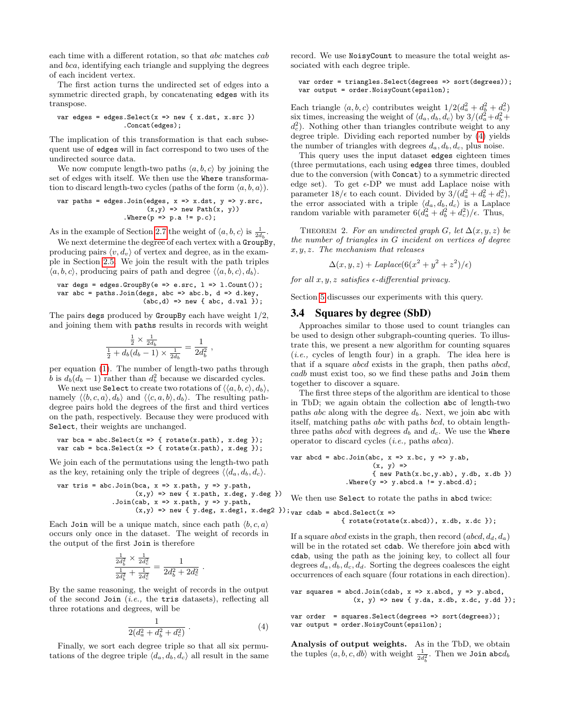each time with a different rotation, so that abc matches cab and bca, identifying each triangle and supplying the degrees of each incident vertex.

The first action turns the undirected set of edges into a symmetric directed graph, by concatenating edges with its transpose.

$$
var edges = edges.Select(x => new { x.dat, x.src } )
$$

$$
.Concat(edges);
$$

The implication of this transformation is that each subsequent use of edges will in fact correspond to two uses of the undirected source data.

We now compute length-two paths  $\langle a, b, c \rangle$  by joining the set of edges with itself. We then use the Where transformation to discard length-two cycles (paths of the form  $\langle a, b, a \rangle$ ).

\n
$$
\text{var paths} = \text{edges.Join}(\text{edges, } x \Rightarrow x \cdot \text{dst, } y \Rightarrow y \cdot \text{src, } (x, y) \Rightarrow \text{new Path}(x, y))
$$
\n

\n\n $\text{where}(p \Rightarrow p \cdot a \neq p \cdot c);$ \n

As in the example of Section [2.7](#page-4-2) the weight of  $\langle a, b, c \rangle$  is  $\frac{1}{2d_b}$ .

We next determine the degree of each vertex with a GroupBy, producing pairs  $\langle v, d_v \rangle$  of vertex and degree, as in the example in Section [2.5.](#page-3-1) We join the result with the path triples  $\langle a, b, c \rangle$ , producing pairs of path and degree  $\langle \langle a, b, c \rangle, d_b \rangle$ .

var degs = edges.GroupBy(e => e.src,  $1$  =>  $1$ .Count()); var abc = paths.Join(degs, abc => abc.b, d => d.key,  $(abc, d)$  => new { abc, d.val });

The pairs degs produced by GroupBy each have weight  $1/2$ , and joining them with paths results in records with weight

$$
\frac{\frac{1}{2} \times \frac{1}{2d_b}}{\frac{1}{2} + d_b(d_b - 1) \times \frac{1}{2d_b}} = \frac{1}{2d_b^2}
$$

,

per equation [\(1\)](#page-4-1). The number of length-two paths through b is  $d_b(d_b - 1)$  rather than  $d_b^2$  because we discarded cycles.

We next use Select to create two rotations of  $\langle \langle a, b, c \rangle, d_b \rangle$ , namely  $\langle \langle b, c, a \rangle, d_b \rangle$  and  $\langle \langle c, a, b \rangle, d_b \rangle$ . The resulting pathdegree pairs hold the degrees of the first and third vertices on the path, respectively. Because they were produced with Select, their weights are unchanged.

```
var bca = abc.Select(x \Rightarrow { rotate(x.path), x.deg});
var cab = bca.Select(x => { rotate(x.path), x.deg });
```
We join each of the permutations using the length-two path as the key, retaining only the triple of degrees  $\langle \langle d_a, d_b, d_c \rangle$ .

```
var tris = abc.Join(bca, x \Rightarrow x.path, y \Rightarrow y.path,
                           (x,y) \Rightarrow new \{ x.path, x.deg, y.deg \}.Join(cab, x \Rightarrow x.path, y \Rightarrow y.path,(x, y) \Rightarrow new \{ y. deg, x. deg1, x. deg2 \}; var cdab = abcd. Select(x \Rightarrow
```
Each Join will be a unique match, since each path  $\langle b, c, a \rangle$ occurs only once in the dataset. The weight of records in the output of the first Join is therefore

$$
\frac{\frac{1}{2d_b^2} \times \frac{1}{2d_c^2}}{\frac{1}{2d_b^2} + \frac{1}{2d_c^2}} = \frac{1}{2d_b^2 + 2d_c^2}
$$

By the same reasoning, the weight of records in the output of the second Join (i.e., the tris datasets), reflecting all three rotations and degrees, will be

<span id="page-7-1"></span>
$$
\frac{1}{2(d_a^2 + d_b^2 + d_c^2)} \tag{4}
$$

.

Finally, we sort each degree triple so that all six permutations of the degree triple  $\langle d_a, d_b, d_c \rangle$  all result in the same record. We use NoisyCount to measure the total weight associated with each degree triple.

var order = triangles.Select(degrees => sort(degrees)); var output = order.NoisyCount(epsilon);

Each triangle  $\langle a, b, c \rangle$  contributes weight  $1/2(d_a^2 + d_b^2 + d_c^2)$ six times, increasing the weight of  $\langle d_a, d_b, d_c \rangle$  by  $3/(d_a^2+d_b^2 +$  $d_c^2$ ). Nothing other than triangles contribute weight to any degree triple. Dividing each reported number by [\(4\)](#page-7-1) yields the number of triangles with degrees  $d_a, d_b, d_c$ , plus noise.

This query uses the input dataset edges eighteen times (three permutations, each using edges three times, doubled due to the conversion (with Concat) to a symmetric directed edge set). To get  $\epsilon$ -DP we must add Laplace noise with parameter  $18/\epsilon$  to each count. Divided by  $3/(d_a^2 + d_b^2 + d_c^2)$ , the error associated with a triple  $\langle d_a, d_b, d_c \rangle$  is a Laplace random variable with parameter  $6(d_a^2 + d_b^2 + d_c^2)/\epsilon$ . Thus,

<span id="page-7-0"></span>THEOREM 2. For an undirected graph G, let  $\Delta(x, y, z)$  be the number of triangles in G incident on vertices of degree  $x, y, z$ . The mechanism that releases

$$
\Delta(x, y, z) + Laplace(6(x2 + y2 + z2)/\epsilon)
$$

for all  $x, y, z$  satisfies  $\epsilon$ -differential privacy.

Section [5](#page-10-0) discusses our experiments with this query.

#### 3.4 Squares by degree (SbD)

Approaches similar to those used to count triangles can be used to design other subgraph-counting queries. To illustrate this, we present a new algorithm for counting squares (i.e., cycles of length four) in a graph. The idea here is that if a square abcd exists in the graph, then paths abcd, cadb must exist too, so we find these paths and Join them together to discover a square.

The first three steps of the algorithm are identical to those in TbD; we again obtain the collection abc of length-two paths abc along with the degree  $d_b$ . Next, we join abc with itself, matching paths abc with paths bcd, to obtain lengththree paths *abcd* with degrees  $d_b$  and  $d_c$ . We use the Where operator to discard cycles (i.e., paths abca).

\n
$$
\text{var} \quad \text{abcd} = \text{abc} \cdot \text{Join}(\text{abc}, \, x \Rightarrow x \cdot \text{bc}, \, y \Rightarrow y \cdot \text{ab}, \\
 \quad (x, \, y) \Rightarrow \quad \{ \text{new Path}(x \cdot \text{bc}, y \cdot \text{ab}), \, y \cdot \text{db}, \, x \cdot \text{db} \} \\
 \quad \text{where} \quad (y \Rightarrow y \cdot \text{abcd}.a \, \text{!} = y \cdot \text{abcd}.d);
$$
\n

We then use Select to rotate the paths in abcd twice:

```
{rotate(rotate(x.abcd)), x.db, x.dc});
```
If a square abcd exists in the graph, then record  $(abcd, d_d, d_a)$ will be in the rotated set cdab. We therefore join abcd with cdab, using the path as the joining key, to collect all four degrees  $d_a, d_b, d_c, d_d$ . Sorting the degrees coalesces the eight occurrences of each square (four rotations in each direction).

\n
$$
\text{var squares} = \text{abcd.Join}(\text{cdab}, x \Rightarrow x.\text{abcd}, y \Rightarrow y.\text{abcd}, (x, y) \Rightarrow \text{new} \{ y.da, x.db, x.dc, y.dd \});
$$
\n

\n\n $\text{var order} = \text{square}.\text{Select}(\text{degrees} \Rightarrow \text{sort}(\text{degrees}));$ \n

var output = order.NoisyCount(epsilon);

Analysis of output weights. As in the TbD, we obtain the tuples  $\langle a, b, c, db \rangle$  with weight  $\frac{1}{2d_b^2}$ . Then we Join abc $d_b$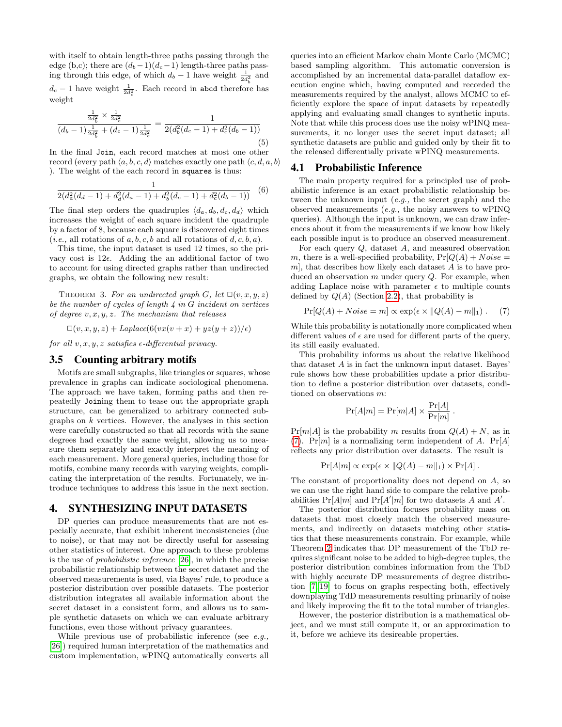with itself to obtain length-three paths passing through the edge (b,c); there are  $(d_b-1)(d_c-1)$  length-three paths passing through this edge, of which  $d_b - 1$  have weight  $\frac{1}{2d_b^2}$  and  $d_c - 1$  have weight  $\frac{1}{2d_c^2}$ . Each record in abcd therefore has weight

$$
\frac{\frac{1}{2d_b^2} \times \frac{1}{2d_c^2}}{(d_b - 1)\frac{1}{2d_b^2} + (d_c - 1)\frac{1}{2d_c^2}} = \frac{1}{2(d_b^2(d_c - 1) + d_c^2(d_b - 1))}
$$
\n(5)

In the final Join, each record matches at most one other record (every path  $\langle a, b, c, d \rangle$  matches exactly one path  $\langle c, d, a, b \rangle$ ). The weight of the each record in squares is thus:

$$
\frac{1}{2(d_a^2(d_d-1)+d_d^2(d_a-1)+d_b^2(d_c-1)+d_c^2(d_b-1))} \quad (6)
$$

The final step orders the quadruples  $\langle d_a, d_b, d_c, d_d \rangle$  which increases the weight of each square incident the quadruple by a factor of 8, because each square is discovered eight times (*i.e.*, all rotations of a, b, c, b and all rotations of  $d, c, b, a$ ).

This time, the input dataset is used 12 times, so the privacy cost is  $12\epsilon$ . Adding the an additional factor of two to account for using directed graphs rather than undirected graphs, we obtain the following new result:

<span id="page-8-1"></span>THEOREM 3. For an undirected graph G, let  $\Box(v, x, y, z)$ be the number of cycles of length  $\lambda$  in G incident on vertices of degree  $v, x, y, z$ . The mechanism that releases

$$
\Box(v, x, y, z) + Laplace(6(vx(v+x) + yz(y+z))/\epsilon)
$$

for all  $v, x, y, z$  satisfies  $\epsilon$ -differential privacy.

## 3.5 Counting arbitrary motifs

Motifs are small subgraphs, like triangles or squares, whose prevalence in graphs can indicate sociological phenomena. The approach we have taken, forming paths and then repeatedly Joining them to tease out the appropriate graph structure, can be generalized to arbitrary connected subgraphs on  $k$  vertices. However, the analyses in this section were carefully constructed so that all records with the same degrees had exactly the same weight, allowing us to measure them separately and exactly interpret the meaning of each measurement. More general queries, including those for motifs, combine many records with varying weights, complicating the interpretation of the results. Fortunately, we introduce techniques to address this issue in the next section.

## <span id="page-8-0"></span>4. SYNTHESIZING INPUT DATASETS

DP queries can produce measurements that are not especially accurate, that exhibit inherent inconsistencies (due to noise), or that may not be directly useful for assessing other statistics of interest. One approach to these problems is the use of probabilistic inference [\[26\]](#page-14-19), in which the precise probabilistic relationship between the secret dataset and the observed measurements is used, via Bayes' rule, to produce a posterior distribution over possible datasets. The posterior distribution integrates all available information about the secret dataset in a consistent form, and allows us to sample synthetic datasets on which we can evaluate arbitrary functions, even those without privacy guarantees.

While previous use of probabilistic inference (see  $e.g.,$ [\[26\]](#page-14-19)) required human interpretation of the mathematics and custom implementation, wPINQ automatically converts all queries into an efficient Markov chain Monte Carlo (MCMC) based sampling algorithm. This automatic conversion is accomplished by an incremental data-parallel dataflow execution engine which, having computed and recorded the measurements required by the analyst, allows MCMC to efficiently explore the space of input datasets by repeatedly applying and evaluating small changes to synthetic inputs. Note that while this process does use the noisy wPINQ measurements, it no longer uses the secret input dataset; all synthetic datasets are public and guided only by their fit to the released differentially private wPINQ measurements.

#### 4.1 Probabilistic Inference

The main property required for a principled use of probabilistic inference is an exact probabilistic relationship between the unknown input  $(e.g., the secret graph)$  and the observed measurements (e.g., the noisy answers to wPINQ queries). Although the input is unknown, we can draw inferences about it from the measurements if we know how likely each possible input is to produce an observed measurement.

For each query  $Q$ , dataset  $A$ , and measured observation m, there is a well-specified probability,  $Pr[Q(A) + Noise =$  $m$ , that describes how likely each dataset A is to have produced an observation  $m$  under query  $Q$ . For example, when adding Laplace noise with parameter  $\epsilon$  to multiple counts defined by  $Q(A)$  (Section [2.2\)](#page-2-1), that probability is

<span id="page-8-2"></span>
$$
Pr[Q(A) + Noise = m] \propto \exp(\epsilon \times ||Q(A) - m||_1). \quad (7)
$$

While this probability is notationally more complicated when different values of  $\epsilon$  are used for different parts of the query, its still easily evaluated.

This probability informs us about the relative likelihood that dataset A is in fact the unknown input dataset. Bayes' rule shows how these probabilities update a prior distribution to define a posterior distribution over datasets, conditioned on observations m:

$$
Pr[A|m] = Pr[m|A] \times \frac{Pr[A]}{Pr[m]}.
$$

 $Pr[m|A]$  is the probability m results from  $Q(A) + N$ , as in [\(7\)](#page-8-2).  $Pr[m]$  is a normalizing term independent of A.  $Pr[A]$ reflects any prior distribution over datasets. The result is

$$
Pr[A|m] \propto \exp(\epsilon \times ||Q(A) - m||_1) \times Pr[A].
$$

The constant of proportionality does not depend on A, so we can use the right hand side to compare the relative probabilities  $Pr[A|m]$  and  $Pr[A'|m]$  for two datasets A and A'.

The posterior distribution focuses probability mass on datasets that most closely match the observed measurements, and indirectly on datasets matching other statistics that these measurements constrain. For example, while Theorem [2](#page-7-0) indicates that DP measurement of the TbD requires significant noise to be added to high-degree tuples, the posterior distribution combines information from the TbD with highly accurate DP measurements of degree distribution [\[7,](#page-14-11) [19\]](#page-14-5) to focus on graphs respecting both, effectively downplaying TdD measurements resulting primarily of noise and likely improving the fit to the total number of triangles.

However, the posterior distribution is a mathematical object, and we must still compute it, or an approximation to it, before we achieve its desireable properties.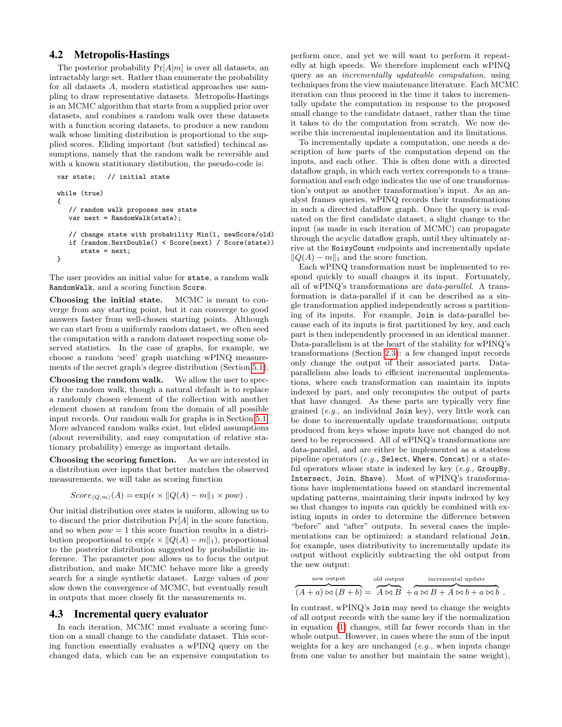# <span id="page-9-0"></span>4.2 Metropolis-Hastings

The posterior probability  $Pr[A|m]$  is over all datasets, an intractably large set. Rather than enumerate the probability for all datasets A, modern statistical approaches use sampling to draw representative datasets. Metropolis-Hastings is an MCMC algorithm that starts from a supplied prior over datasets, and combines a random walk over these datasets with a function scoring datasets, to produce a new random walk whose limiting distribution is proportional to the supplied scores. Eliding important (but satisfied) techincal assumptions, namely that the random walk be reversible and with a known statitionary distibution, the pseudo-code is:

```
var state; // initial state
while (true)
{
   // random walk proposes new state
   var next = RandomWalk(state);
   // change state with probability Min(1, newScore/old)
   if (random.NextDouble() < Score(next) / Score(state))
      state = next;
}
```
The user provides an initial value for state, a random walk RandomWalk, and a scoring function Score.

Choosing the initial state. MCMC is meant to converge from any starting point, but it can converge to good answers faster from well-chosen starting points. Although we can start from a uniformly random dataset, we often seed the computation with a random dataset respecting some observed statistics. In the case of graphs, for example, we choose a random 'seed' graph matching wPINQ measurements of the secret graph's degree distribution (Section [5.1\)](#page-10-1).

Choosing the random walk. We allow the user to specify the random walk, though a natural default is to replace a randomly chosen element of the collection with another element chosen at random from the domain of all possible input records. Our random walk for graphs is in Section [5.1.](#page-10-1) More advanced random walks exist, but elided assumptions (about reversibility, and easy computation of relative stationary probability) emerge as important details.

Choosing the scoring function. As we are interested in a distribution over inputs that better matches the observed measurements, we will take as scoring function

$$
Score_{\langle Q,m\rangle}(A)=\exp(\epsilon\times\|Q(A)-m\|_1\times pow).
$$

Our initial distribution over states is uniform, allowing us to to discard the prior distribution  $Pr[A]$  in the score function, and so when  $pow = 1$  this score function results in a distribution proportional to  $\exp(\epsilon \times ||Q(A) - m||_1)$ , proportional to the posterior distribution suggested by probabilistic inference. The parameter pow allows us to focus the output distribution, and make MCMC behave more like a greedy search for a single synthetic dataset. Large values of pow slow down the convergence of MCMC, but eventually result in outputs that more closely fit the measurements m.

#### <span id="page-9-1"></span>4.3 Incremental query evaluator

In each iteration, MCMC must evaluate a scoring function on a small change to the candidate dataset. This scoring function essentially evaluates a wPINQ query on the changed data, which can be an expensive computation to perform once, and yet we will want to perform it repeatedly at high speeds. We therefore implement each wPINQ query as an incrementally updateable computation, using techniques from the view maintenance literature. Each MCMC iteration can thus proceed in the time it takes to incrementally update the computation in response to the proposed small change to the candidate dataset, rather than the time it takes to do the computation from scratch. We now describe this incremental implementation and its limitations.

To incrementally update a computation, one needs a description of how parts of the computation depend on the inputs, and each other. This is often done with a directed dataflow graph, in which each vertex corresponds to a transformation and each edge indicates the use of one transformation's output as another transformation's input. As an analyst frames queries, wPINQ records their transformations in such a directed dataflow graph. Once the query is evaluated on the first candidate dataset, a slight change to the input (as made in each iteration of MCMC) can propagate through the acyclic dataflow graph, until they ultimately arrive at the NoisyCount endpoints and incrementally update  $||Q(A) - m||_1$  and the score function.

Each wPINQ transformation must be implemented to respond quickly to small changes it its input. Fortunately, all of wPINQ's transformations are data-parallel. A transformation is data-parallel if it can be described as a single transformation applied independently across a partitioning of its inputs. For example, Join is data-parallel because each of its inputs is first partitioned by key, and each part is then independently processed in an identical manner. Data-parallelism is at the heart of the stability for wPINQ's transformations (Section [2.3\)](#page-2-0): a few changed input records only change the output of their associated parts. Dataparallelism also leads to efficient incremental implementations, where each transformation can maintain its inputs indexed by part, and only recomputes the output of parts that have changed. As these parts are typically very fine grained (e.g., an individual Join key), very little work can be done to incrementally update transformations; outputs produced from keys whose inputs have not changed do not need to be reprocessed. All of wPINQ's transformations are data-parallel, and are either be implemented as a stateless pipeline operators (e.g., Select, Where, Concat) or a stateful operators whose state is indexed by key  $(e.g., \text{GroupBy},$ Intersect, Join, Shave). Most of wPINQ's transformations have implementations based on standard incremental updating patterns, maintaining their inputs indexed by key so that changes to inputs can quickly be combined with existing inputs in order to determine the difference between "before" and "after" outputs. In several cases the implementations can be optimized; a standard relational Join, for example, uses distributivity to incrementally update its output without explicitly subtracting the old output from the new output:

| new output | old output | incremental update                                                              |
|------------|------------|---------------------------------------------------------------------------------|
|            |            |                                                                                 |
|            |            | $(A+a) \bowtie (B+b) = A \bowtie B + a \bowtie B + A \bowtie b + a \bowtie b$ . |

In contrast, wPINQ's Join may need to change the weights of all output records with the same key if the normalization in equation [\(1\)](#page-4-1) changes, still far fewer records than in the whole output. However, in cases where the sum of the input weights for a key are unchanged  $(e.g.,$  when inputs change from one value to another but maintain the same weight),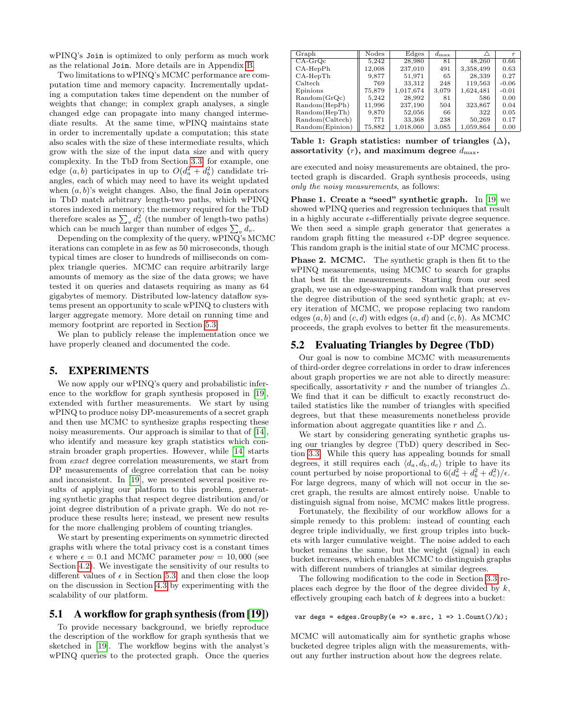wPINQ's Join is optimized to only perform as much work as the relational Join. More details are in Appendix [B.](#page-15-0)

Two limitations to wPINQ's MCMC performance are computation time and memory capacity. Incrementally updating a computation takes time dependent on the number of weights that change; in complex graph analyses, a single changed edge can propagate into many changed intermediate results. At the same time, wPINQ maintains state in order to incrementally update a computation; this state also scales with the size of these intermediate results, which grow with the size of the input data size and with query complexity. In the TbD from Section [3.3,](#page-6-2) for example, one edge  $(a, b)$  participates in up to  $O(d_a^2 + d_b^2)$  candidate triangles, each of which may need to have its weight updated when  $(a, b)$ 's weight changes. Also, the final Join operators in TbD match arbitrary length-two paths, which wPINQ stores indexed in memory; the memory required for the TbD therefore scales as  $\sum_{v} d_v^2$  (the number of length-two paths) which can be much larger than number of edges  $\sum_{v} d_v$ .

Depending on the complexity of the query, wPINQ's MCMC iterations can complete in as few as 50 microseconds, though typical times are closer to hundreds of milliseconds on complex triangle queries. MCMC can require arbitrarily large amounts of memory as the size of the data grows; we have tested it on queries and datasets requiring as many as 64 gigabytes of memory. Distributed low-latency dataflow systems present an opportunity to scale wPINQ to clusters with larger aggregate memory. More detail on running time and memory footprint are reported in Section [5.3.](#page-11-0)

We plan to publicly release the implementation once we have properly cleaned and documented the code.

# <span id="page-10-0"></span>5. EXPERIMENTS

We now apply our wPINQ's query and probabilistic inference to the workflow for graph synthesis proposed in [\[19\]](#page-14-5), extended with further measurements. We start by using wPINQ to produce noisy DP-measurements of a secret graph and then use MCMC to synthesize graphs respecting these noisy measurements. Our approach is similar to that of [\[14\]](#page-14-9), who identify and measure key graph statistics which constrain broader graph properties. However, while [\[14\]](#page-14-9) starts from exact degree correlation measurements, we start from DP measurements of degree correlation that can be noisy and inconsistent. In [\[19\]](#page-14-5), we presented several positive results of applying our platform to this problem, generating synthetic graphs that respect degree distribution and/or joint degree distribution of a private graph. We do not reproduce these results here; instead, we present new results for the more challenging problem of counting triangles.

We start by presenting experiments on symmetric directed graphs with where the total privacy cost is a constant times  $\epsilon$  where  $\epsilon = 0.1$  and MCMC parameter  $pow = 10,000$  (see Section [4.2\)](#page-9-0). We investigate the sensitivity of our results to different values of  $\epsilon$  in Section [5.3,](#page-11-0) and then close the loop on the discussion in Section [4.3](#page-9-1) by experimenting with the scalability of our platform.

#### <span id="page-10-1"></span>5.1 A workflow for graph synthesis (from [\[19\]](#page-14-5))

To provide necessary background, we briefly reproduce the description of the workflow for graph synthesis that we sketched in [\[19\]](#page-14-5). The workflow begins with the analyst's wPINQ queries to the protected graph. Once the queries

| Graph           | Nodes  | Edges     | $d_{\rm max}$ |           | $\boldsymbol{r}$ |
|-----------------|--------|-----------|---------------|-----------|------------------|
| $CA-GrQc$       | 5,242  | 28,980    | 81            | 48,260    | 0.66             |
| $CA-HepPh$      | 12,008 | 237,010   | 491           | 3,358,499 | 0.63             |
| $CA-HepTh$      | 9,877  | 51.971    | 65            | 28,339    | 0.27             |
| Caltech         | 769    | 33,312    | 248           | 119,563   | $-0.06$          |
| Epinions        | 75,879 | 1,017,674 | 3,079         | 1,624,481 | $-0.01$          |
| Random(GrQc)    | 5.242  | 28,992    | 81            | 586       | 0.00             |
| Random(HepPh)   | 11.996 | 237,190   | 504           | 323,867   | 0.04             |
| Random(HepTh)   | 9,870  | 52,056    | 66            | 322       | 0.05             |
| Random(Caltech) | 771    | 33,368    | 238           | 50,269    | 0.17             |
| Random(Epinion) | 75,882 | 1,018,060 | 3,085         | 1,059,864 | 0.00             |

<span id="page-10-2"></span>Table 1: Graph statistics: number of triangles  $(\Delta)$ , assortativity  $(r)$ , and maximum degree  $d_{\text{max}}$ .

are executed and noisy measurements are obtained, the protected graph is discarded. Graph synthesis proceeds, using only the noisy measurements, as follows:

Phase 1. Create a "seed" synthetic graph. In [\[19\]](#page-14-5) we showed wPINQ queries and regression techniques that result in a highly accurate  $\epsilon$ -differentially private degree sequence. We then seed a simple graph generator that generates a random graph fitting the measured  $\epsilon$ -DP degree sequence. This random graph is the initial state of our MCMC process.

Phase 2. MCMC. The synthetic graph is then fit to the wPINQ measurements, using MCMC to search for graphs that best fit the measurements. Starting from our seed graph, we use an edge-swapping random walk that preserves the degree distribution of the seed synthetic graph; at every iteration of MCMC, we propose replacing two random edges  $(a, b)$  and  $(c, d)$  with edges  $(a, d)$  and  $(c, b)$ . As MCMC proceeds, the graph evolves to better fit the measurements.

### <span id="page-10-3"></span>5.2 Evaluating Triangles by Degree (TbD)

Our goal is now to combine MCMC with measurements of third-order degree correlations in order to draw inferences about graph properties we are not able to directly measure: specifically, assortativity r and the number of triangles  $\Delta$ . We find that it can be difficult to exactly reconstruct detailed statistics like the number of triangles with specified degrees, but that these measurements nonetheless provide information about aggregate quantities like r and  $\Delta$ .

We start by considering generating synthetic graphs using our triangles by degree (TbD) query described in Section [3.3.](#page-6-2) While this query has appealing bounds for small degrees, it still requires each  $\langle d_a, d_b, d_c \rangle$  triple to have its count perturbed by noise proportional to  $6(d_a^2 + d_b^2 + d_c^2)/\epsilon$ . For large degrees, many of which will not occur in the secret graph, the results are almost entirely noise. Unable to distinguish signal from noise, MCMC makes little progress.

Fortunately, the flexibility of our workflow allows for a simple remedy to this problem: instead of counting each degree triple individually, we first group triples into buckets with larger cumulative weight. The noise added to each bucket remains the same, but the weight (signal) in each bucket increases, which enables MCMC to distinguish graphs with different numbers of triangles at similar degrees.

The following modification to the code in Section [3.3](#page-6-2) replaces each degree by the floor of the degree divided by  $k$ . effectively grouping each batch of  $k$  degrees into a bucket:

#### var degs = edges.GroupBy(e => e.src,  $1 \Rightarrow 1$ .Count()/k);

MCMC will automatically aim for synthetic graphs whose bucketed degree triples align with the measurements, without any further instruction about how the degrees relate.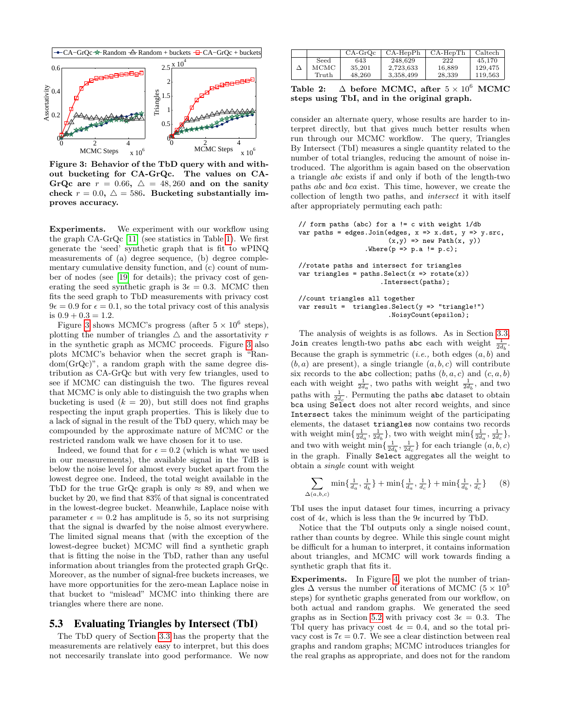

<span id="page-11-1"></span>Figure 3: Behavior of the TbD query with and without bucketing for CA-GrQc. The values on CA-GrQc are  $r = 0.66$ ,  $\triangle = 48,260$  and on the sanity check  $r = 0.0$ ,  $\Delta = 586$ . Bucketing substantially improves accuracy.

Experiments. We experiment with our workflow using the graph CA-GrQc [\[11\]](#page-14-20) (see statistics in Table [1\)](#page-10-2). We first generate the 'seed' synthetic graph that is fit to wPINQ measurements of (a) degree sequence, (b) degree complementary cumulative density function, and (c) count of number of nodes (see [\[19\]](#page-14-5) for details); the privacy cost of generating the seed synthetic graph is  $3\epsilon = 0.3$ . MCMC then fits the seed graph to TbD measurements with privacy cost  $9\epsilon = 0.9$  for  $\epsilon = 0.1$ , so the total privacy cost of this analysis is  $0.9 + 0.3 = 1.2$ .

Figure [3](#page-11-1) shows MCMC's progress (after  $5 \times 10^6$  steps), plotting the number of triangles  $\triangle$  and the assortativity r in the synthetic graph as MCMC proceeds. Figure [3](#page-11-1) also plots MCMC's behavior when the secret graph is "Random(GrQc)", a random graph with the same degree distribution as CA-GrQc but with very few triangles, used to see if MCMC can distinguish the two. The figures reveal that MCMC is only able to distinguish the two graphs when bucketing is used  $(k = 20)$ , but still does not find graphs respecting the input graph properties. This is likely due to a lack of signal in the result of the TbD query, which may be compounded by the approximate nature of MCMC or the restricted random walk we have chosen for it to use.

Indeed, we found that for  $\epsilon = 0.2$  (which is what we used in our measurements), the available signal in the TdB is below the noise level for almost every bucket apart from the lowest degree one. Indeed, the total weight available in the TbD for the true GrQc graph is only  $\approx 89$ , and when we bucket by 20, we find that 83% of that signal is concentrated in the lowest-degree bucket. Meanwhile, Laplace noise with parameter  $\epsilon = 0.2$  has amplitude is 5, so its not surprising that the signal is dwarfed by the noise almost everywhere. The limited signal means that (with the exception of the lowest-degree bucket) MCMC will find a synthetic graph that is fitting the noise in the TbD, rather than any useful information about triangles from the protected graph GrQc. Moreover, as the number of signal-free buckets increases, we have more opportunities for the zero-mean Laplace noise in that bucket to "mislead" MCMC into thinking there are triangles where there are none.

#### <span id="page-11-0"></span>5.3 Evaluating Triangles by Intersect (TbI)

The TbD query of Section [3.3](#page-6-2) has the property that the measurements are relatively easy to interpret, but this does not neccesarily translate into good performance. We now

|       | $CA-GrQc$ | CA-HepPh  | $CA-HepTh$ | Caltech |
|-------|-----------|-----------|------------|---------|
| Seed  | 643       | 248.629   | 222        | 45.170  |
| мсмс  | 35.201    | 2,723,633 | 16.889     | 129.475 |
| Truth | 48.260    | 3.358.499 | 28.339     | 119,563 |

<span id="page-11-2"></span>Table 2:  $\Delta$  before MCMC, after  $5 \times 10^6$  MCMC steps using TbI, and in the original graph.

consider an alternate query, whose results are harder to interpret directly, but that gives much better results when run through our MCMC workflow. The query, Triangles By Intersect (TbI) measures a single quantity related to the number of total triangles, reducing the amount of noise introduced. The algorithm is again based on the observation a triangle abc exists if and only if both of the length-two paths abc and bca exist. This time, however, we create the collection of length two paths, and intersect it with itself after appropriately permuting each path:

```
// form paths (abc) for a != c with weight 1/db
var paths = edges.Join(edges, x \Rightarrow x.dst, y \Rightarrow y.src,
                          (x, y) => new Path(x, y))
                   .Where(p \Rightarrow p.a := p.c);//rotate paths and intersect for triangles
var triangles = paths. Select(x \Rightarrow rotate(x)).Intersect(paths);
//count triangles all together
```
var result = triangles.Select(y => "triangle!") .NoisyCount(epsilon);

The analysis of weights is as follows. As in Section [3.3,](#page-6-2) Join creates length-two paths abc each with weight  $\frac{1}{2d_b}$ . Because the graph is symmetric (*i.e.*, both edges  $(a, b)$  and  $(b, a)$  are present), a single triangle  $(a, b, c)$  will contribute six records to the abc collection; paths  $(b, a, c)$  and  $(c, a, b)$ each with weight  $\frac{1}{2d_a}$ , two paths with weight  $\frac{1}{2d_b}$ , and two paths with  $\frac{1}{2d_c}$ . Permuting the paths abc dataset to obtain bca using Select does not alter record weights, and since Intersect takes the minimum weight of the participating elements, the dataset triangles now contains two records with weight  $\min\{\frac{1}{2d_a}, \frac{1}{2d_b}\}\$ , two with weight  $\min\{\frac{1}{2d_a}, \frac{1}{2d_c}\}\$ , and two with weight  $\min\{\frac{1}{2d_b},\frac{1}{2d_c}\}$  for each triangle  $(a, b, c)$ in the graph. Finally Select aggregates all the weight to obtain a single count with weight

<span id="page-11-3"></span>
$$
\sum_{\Delta(a,b,c)} \min\{\frac{1}{d_a}, \frac{1}{d_b}\} + \min\{\frac{1}{d_a}, \frac{1}{d_c}\} + \min\{\frac{1}{d_b}, \frac{1}{d_c}\} \tag{8}
$$

TbI uses the input dataset four times, incurring a privacy cost of  $4\epsilon$ , which is less than the  $9\epsilon$  incurred by TbD.

Notice that the TbI outputs only a single noised count, rather than counts by degree. While this single count might be difficult for a human to interpret, it contains information about triangles, and MCMC will work towards finding a synthetic graph that fits it.

Experiments. In Figure [4,](#page-12-0) we plot the number of triangles  $\Delta$  versus the number of iterations of MCMC (5  $\times$  10<sup>5</sup>) steps) for synthetic graphs generated from our workflow, on both actual and random graphs. We generated the seed graphs as in Section [5.2](#page-10-3) with privacy cost  $3\epsilon = 0.3$ . The TbI query has privacy cost  $4\epsilon = 0.4$ , and so the total privacy cost is  $7\epsilon = 0.7$ . We see a clear distinction between real graphs and random graphs; MCMC introduces triangles for the real graphs as appropriate, and does not for the random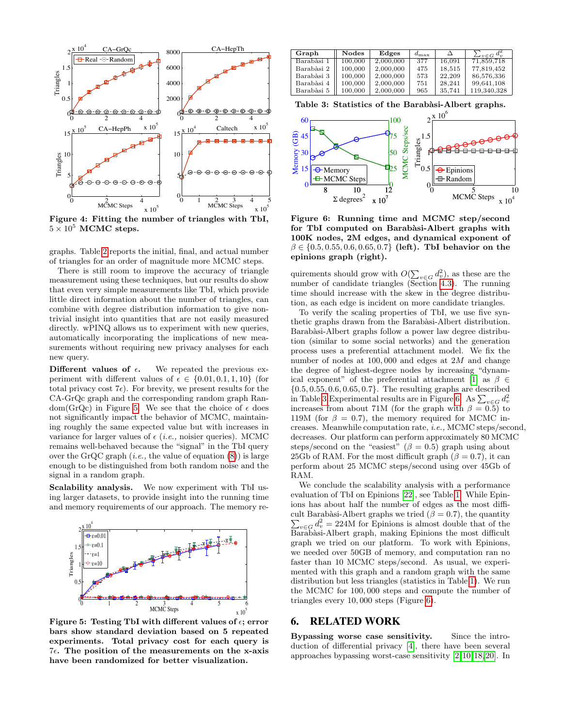

<span id="page-12-0"></span>Figure 4: Fitting the number of triangles with TbI,  $5 \times 10^5$  MCMC steps.

graphs. Table [2](#page-11-2) reports the initial, final, and actual number of triangles for an order of magnitude more MCMC steps.

There is still room to improve the accuracy of triangle measurement using these techniques, but our results do show that even very simple measurements like TbI, which provide little direct information about the number of triangles, can combine with degree distribution information to give nontrivial insight into quantities that are not easily measured directly. wPINQ allows us to experiment with new queries, automatically incorporating the implications of new measurements without requiring new privacy analyses for each new query.

Different values of  $\epsilon$ . We repeated the previous experiment with different values of  $\epsilon \in \{0.01, 0.1, 1, 10\}$  (for total privacy cost  $7\epsilon$ ). For brevity, we present results for the CA-GrQc graph and the corresponding random graph Ran-dom(GrQc) in Figure [5.](#page-12-1) We see that the choice of  $\epsilon$  does not significantly impact the behavior of MCMC, maintaining roughly the same expected value but with increases in variance for larger values of  $\epsilon$  (*i.e.*, noisier queries). MCMC remains well-behaved because the "signal" in the TbI query over the GrQC graph (*i.e.*, the value of equation  $(8)$ ) is large enough to be distinguished from both random noise and the signal in a random graph.

Scalability analysis. We now experiment with TbI using larger datasets, to provide insight into the running time and memory requirements of our approach. The memory re-



<span id="page-12-1"></span>Figure 5: Testing TbI with different values of  $\epsilon$ ; error bars show standard deviation based on 5 repeated experiments. Total privacy cost for each query is  $7\epsilon$ . The position of the measurements on the x-axis have been randomized for better visualization.

| Graph      | <b>Nodes</b> | Edges     | $d_{\max}$ |        | $\sum_{v \in G} d_v^2$ |
|------------|--------------|-----------|------------|--------|------------------------|
| Barabàsi 1 | 100,000      | 2,000,000 | 377        | 16.091 | 71,859,718             |
| Barabàsi 2 | 100,000      | 2,000,000 | 475        | 18,515 | 77,819,452             |
| Barabàsi 3 | 100,000      | 2,000,000 | 573        | 22,209 | 86,576,336             |
| Barabàsi 4 | 100,000      | 2,000,000 | 751        | 28.241 | 99.641.108             |
| Barabàsi 5 | 100,000      | 2,000,000 | 965        | 35.741 | 119,340,328            |

<span id="page-12-2"></span>Table 3: Statistics of the Barabàsi-Albert graphs.



<span id="page-12-3"></span>Figure 6: Running time and MCMC step/second for TbI computed on Barabàsi-Albert graphs with 100K nodes, 2M edges, and dynamical exponent of  $\beta \in \{0.5, 0.55, 0.6, 0.65, 0.7\}$  (left). TbI behavior on the epinions graph (right).

quirements should grow with  $O(\sum_{v \in G} d_v^2)$ , as these are the number of candidate triangles (Section [4.3\)](#page-9-1). The running time should increase with the skew in the degree distribution, as each edge is incident on more candidate triangles.

To verify the scaling properties of TbI, we use five synthetic graphs drawn from the Barabàsi-Albert distribution. Barabàsi-Albert graphs follow a power law degree distribution (similar to some social networks) and the generation process uses a preferential attachment model. We fix the number of nodes at 100,000 and edges at 2M and change the degree of highest-degree nodes by increasing "dynam-ical exponent" of the preferential attachment [\[1\]](#page-14-21) as  $\beta \in$  ${0.5, 0.55, 0.6, 0.65, 0.7}.$  The resulting graphs are described in Table [3.](#page-12-2)Experimental results are in Figure [6.](#page-12-3) As  $\sum_{v \in G} d_v^2$ increases from about 71M (for the graph with  $\beta = 0.5$ ) to 119M (for  $\beta = 0.7$ ), the memory required for MCMC increases. Meanwhile computation rate, i.e., MCMC steps/second, decreases. Our platform can perform approximately 80 MCMC steps/second on the "easiest" ( $\beta = 0.5$ ) graph using about 25Gb of RAM. For the most difficult graph ( $\beta = 0.7$ ), it can perform about 25 MCMC steps/second using over 45Gb of RAM.

We conclude the scalability analysis with a performance evaluation of TbI on Epinions [\[22\]](#page-14-22), see Table [1.](#page-10-2) While Epinions has about half the number of edges as the most difficult Barabàsi-Albert graphs we tried  $(\beta = 0.7)$ , the quantity  $\sum_{v \in G} d_v^2 = 224$ M for Epinions is almost double that of the Barabàsi-Albert graph, making Epinions the most difficult graph we tried on our platform. To work with Epinions, we needed over 50GB of memory, and computation ran no faster than 10 MCMC steps/second. As usual, we experimented with this graph and a random graph with the same distribution but less triangles (statistics in Table [1\)](#page-10-2). We run the MCMC for 100, 000 steps and compute the number of triangles every 10, 000 steps (Figure [6\)](#page-12-3).

# 6. RELATED WORK

Bypassing worse case sensitivity. Since the introduction of differential privacy [\[4\]](#page-14-10), there have been several approaches bypassing worst-case sensitivity [\[2,](#page-14-14)[10,](#page-14-16)[18,](#page-14-6)[20\]](#page-14-7). In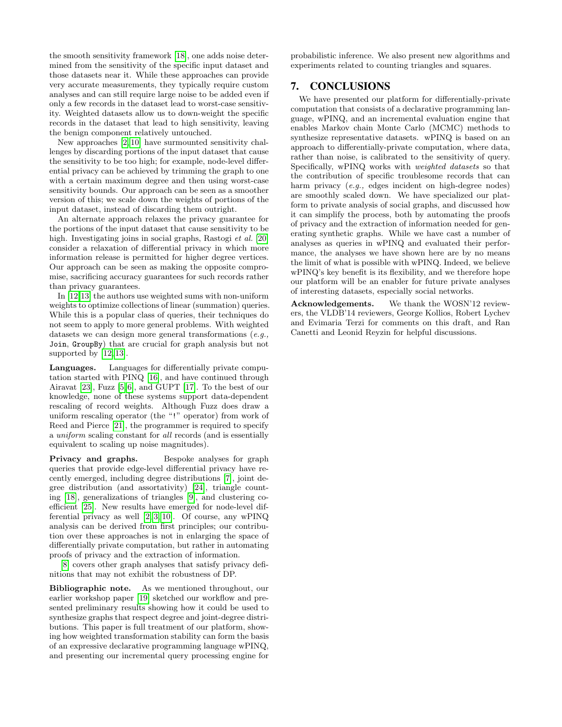the smooth sensitivity framework [\[18\]](#page-14-6), one adds noise determined from the sensitivity of the specific input dataset and those datasets near it. While these approaches can provide very accurate measurements, they typically require custom analyses and can still require large noise to be added even if only a few records in the dataset lead to worst-case sensitivity. Weighted datasets allow us to down-weight the specific records in the dataset that lead to high sensitivity, leaving the benign component relatively untouched.

New approaches [\[2,](#page-14-14) [10\]](#page-14-16) have surmounted sensitivity challenges by discarding portions of the input dataset that cause the sensitivity to be too high; for example, node-level differential privacy can be achieved by trimming the graph to one with a certain maximum degree and then using worst-case sensitivity bounds. Our approach can be seen as a smoother version of this; we scale down the weights of portions of the input dataset, instead of discarding them outright.

An alternate approach relaxes the privacy guarantee for the portions of the input dataset that cause sensitivity to be high. Investigating joins in social graphs, Rastogi et al. [\[20\]](#page-14-7) consider a relaxation of differential privacy in which more information release is permitted for higher degree vertices. Our approach can be seen as making the opposite compromise, sacrificing accuracy guarantees for such records rather than privacy guarantees.

In [\[12,](#page-14-23)[13\]](#page-14-8) the authors use weighted sums with non-uniform weights to optimize collections of linear (summation) queries. While this is a popular class of queries, their techniques do not seem to apply to more general problems. With weighted datasets we can design more general transformations (e.g., Join, GroupBy) that are crucial for graph analysis but not supported by [\[12,](#page-14-23) [13\]](#page-14-8).

Languages. Languages for differentially private computation started with PINQ [\[16\]](#page-14-2), and have continued through Airavat [\[23\]](#page-14-4), Fuzz [\[5,](#page-14-0) [6\]](#page-14-1), and GUPT [\[17\]](#page-14-3). To the best of our knowledge, none of these systems support data-dependent rescaling of record weights. Although Fuzz does draw a uniform rescaling operator (the "!" operator) from work of Reed and Pierce [\[21\]](#page-14-24), the programmer is required to specify a uniform scaling constant for all records (and is essentially equivalent to scaling up noise magnitudes).

Privacy and graphs. Bespoke analyses for graph queries that provide edge-level differential privacy have recently emerged, including degree distributions [\[7\]](#page-14-11), joint degree distribution (and assortativity) [\[24\]](#page-14-13), triangle counting [\[18\]](#page-14-6), generalizations of triangles [\[9\]](#page-14-12), and clustering coefficient [\[25\]](#page-14-25). New results have emerged for node-level differential privacy as well [\[2,](#page-14-14) [3,](#page-14-15) [10\]](#page-14-16). Of course, any wPINQ analysis can be derived from first principles; our contribution over these approaches is not in enlarging the space of differentially private computation, but rather in automating proofs of privacy and the extraction of information.

[\[8\]](#page-14-26) covers other graph analyses that satisfy privacy definitions that may not exhibit the robustness of DP.

Bibliographic note. As we mentioned throughout, our earlier workshop paper [\[19\]](#page-14-5) sketched our workflow and presented preliminary results showing how it could be used to synthesize graphs that respect degree and joint-degree distributions. This paper is full treatment of our platform, showing how weighted transformation stability can form the basis of an expressive declarative programming language wPINQ, and presenting our incremental query processing engine for probabilistic inference. We also present new algorithms and experiments related to counting triangles and squares.

# 7. CONCLUSIONS

We have presented our platform for differentially-private computation that consists of a declarative programming language, wPINQ, and an incremental evaluation engine that enables Markov chain Monte Carlo (MCMC) methods to synthesize representative datasets. wPINQ is based on an approach to differentially-private computation, where data, rather than noise, is calibrated to the sensitivity of query. Specifically, wPINQ works with weighted datasets so that the contribution of specific troublesome records that can harm privacy (e.g., edges incident on high-degree nodes) are smoothly scaled down. We have specialized our platform to private analysis of social graphs, and discussed how it can simplify the process, both by automating the proofs of privacy and the extraction of information needed for generating synthetic graphs. While we have cast a number of analyses as queries in wPINQ and evaluated their performance, the analyses we have shown here are by no means the limit of what is possible with wPINQ. Indeed, we believe wPINQ's key benefit is its flexibility, and we therefore hope our platform will be an enabler for future private analyses of interesting datasets, especially social networks.

Acknowledgements. We thank the WOSN'12 reviewers, the VLDB'14 reviewers, George Kollios, Robert Lychev and Evimaria Terzi for comments on this draft, and Ran Canetti and Leonid Reyzin for helpful discussions.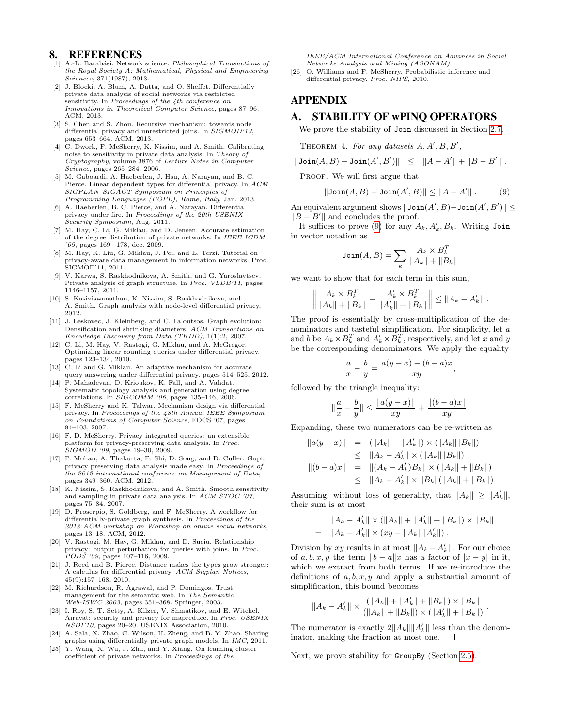# 8. REFERENCES

- <span id="page-14-21"></span>[1] A.-L. Barabási. Network science. Philosophical Transactions of the Royal Society A: Mathematical, Physical and Engineering Sciences, 371(1987), 2013.
- <span id="page-14-14"></span>[2] J. Blocki, A. Blum, A. Datta, and O. Sheffet. Differentially private data analysis of social networks via restricted sensitivity. In Proceedings of the 4th conference on Innovations in Theoretical Computer Science, pages 87–96. ACM, 2013.
- <span id="page-14-15"></span>[3] S. Chen and S. Zhou. Recursive mechanism: towards node differential privacy and unrestricted joins. In SIGMOD'13, pages 653–664. ACM, 2013.
- <span id="page-14-10"></span>[4] C. Dwork, F. McSherry, K. Nissim, and A. Smith. Calibrating noise to sensitivity in private data analysis. In Theory of Cryptography, volume 3876 of Lecture Notes in Computer Science, pages 265–284. 2006.
- <span id="page-14-0"></span>[5] M. Gaboardi, A. Haeberlen, J. Hsu, A. Narayan, and B. C. Pierce. Linear dependent types for differential privacy. In ACM SIGPLAN–SIGACT Symposium on Principles of Programming Languages (POPL), Rome, Italy, Jan. 2013.
- <span id="page-14-1"></span>[6] A. Haeberlen, B. C. Pierce, and A. Narayan. Differential privacy under fire. In Proceedings of the 20th USENIX Security Symposium, Aug. 2011.
- <span id="page-14-11"></span>[7] M. Hay, C. Li, G. Miklau, and D. Jensen. Accurate estimation of the degree distribution of private networks. In IEEE ICDM '09, pages 169 –178, dec. 2009.
- <span id="page-14-26"></span>[8] M. Hay, K. Liu, G. Miklau, J. Pei, and E. Terzi. Tutorial on privacy-aware data management in information networks. Proc. SIGMOD'11, 2011.
- <span id="page-14-12"></span>V. Karwa, S. Raskhodnikova, A. Smith, and G. Yaroslavtsev. Private analysis of graph structure. In Proc. VLDB'11, pages 1146–1157, 2011.
- <span id="page-14-16"></span>[10] S. Kasiviswanathan, K. Nissim, S. Raskhodnikova, and A. Smith. Graph analysis with node-level differential privacy, 2012.
- <span id="page-14-20"></span>[11] J. Leskovec, J. Kleinberg, and C. Faloutsos. Graph evolution: Densification and shrinking diameters. ACM Transactions on Knowledge Discovery from Data (TKDD), 1(1):2, 2007.
- <span id="page-14-23"></span>[12] C. Li, M. Hay, V. Rastogi, G. Miklau, and A. McGregor. Optimizing linear counting queries under differential privacy. pages 123–134, 2010.
- <span id="page-14-8"></span>[13] C. Li and G. Miklau. An adaptive mechanism for accurate query answering under differential privacy. pages 514–525, 2012.
- <span id="page-14-9"></span>[14] P. Mahadevan, D. Krioukov, K. Fall, and A. Vahdat. Systematic topology analysis and generation using degree correlations. In  $\tilde{SIGCOMM}$  '06, pages 135-146, 2006.
- <span id="page-14-17"></span>[15] F. McSherry and K. Talwar. Mechanism design via differential privacy. In Proceedings of the 48th Annual IEEE Symposium on Foundations of Computer Science, FOCS '07, pages 94–103, 2007.
- <span id="page-14-2"></span>[16] F. D. McSherry. Privacy integrated queries: an extensible platform for privacy-preserving data analysis. In Proc. SIGMOD '09, pages 19–30, 2009.
- <span id="page-14-3"></span>[17] P. Mohan, A. Thakurta, E. Shi, D. Song, and D. Culler. Gupt: privacy preserving data analysis made easy. In Proceedings of the 2012 international conference on Management of Data, pages 349–360. ACM, 2012.
- <span id="page-14-6"></span>[18] K. Nissim, S. Raskhodnikova, and A. Smith. Smooth sensitivity and sampling in private data analysis. In ACM STOC '07, pages 75–84, 2007.
- <span id="page-14-5"></span>[19] D. Proserpio, S. Goldberg, and F. McSherry. A workflow for differentially-private graph synthesis. In Proceedings of the 2012 ACM workshop on Workshop on online social networks, pages 13–18. ACM, 2012.
- <span id="page-14-7"></span>[20] V. Rastogi, M. Hay, G. Miklau, and D. Suciu. Relationship privacy: output perturbation for queries with joins. In Proc. PODS '09, pages 107-116, 2009.
- <span id="page-14-24"></span>[21] J. Reed and B. Pierce. Distance makes the types grow stronger: A calculus for differential privacy. ACM Sigplan Notices, 45(9):157–168, 2010.
- <span id="page-14-22"></span>[22] M. Richardson, R. Agrawal, and P. Domingos. Trust management for the semantic web. In The Semantic Web-ISWC 2003, pages 351–368. Springer, 2003.
- <span id="page-14-4"></span>[23] I. Roy, S. T. Setty, A. Kilzer, V. Shmatikov, and E. Witchel. Airavat: security and privacy for mapreduce. In Proc. USENIX NSDI'10, pages 20–20. USENIX Association, 2010.
- <span id="page-14-13"></span>[24] A. Sala, X. Zhao, C. Wilson, H. Zheng, and B. Y. Zhao. Sharing graphs using differentially private graph models. In IMC, 2011.
- <span id="page-14-25"></span>[25] Y. Wang, X. Wu, J. Zhu, and Y. Xiang. On learning cluster coefficient of private networks. In Proceedings of the

IEEE/ACM International Conference on Advances in Social Networks Analysis and Mining (ASONAM).

<span id="page-14-19"></span>[26] O. Williams and F. McSherry. Probabilistic inference and differential privacy. Proc. NIPS, 2010.

# APPENDIX

# <span id="page-14-18"></span>A. STABILITY OF wPINQ OPERATORS

We prove the stability of Join discussed in Section [2.7.](#page-4-2)

THEOREM 4. For any datasets  $A, A', B, B'$ ,

$$
\|\text{Join}(A,B) - \text{Join}(A',B')\| \leq \|A - A'\| + \|B - B'\|.
$$

PROOF. We will first argue that

<span id="page-14-27"></span>
$$
\|\text{Join}(A, B) - \text{Join}(A', B)\| \le \|A - A'\|.
$$
 (9)

An equivalent argument shows  $\|\text{Join}(A',B)-\text{Join}(A',B')\|\leq$  $||B - B'||$  and concludes the proof.

It suffices to prove [\(9\)](#page-14-27) for any  $A_k, A'_k, B_k$ . Writing Join in vector notation as

$$
\texttt{Join}(A,B) = \sum_{k} \frac{A_k \times B_k^T}{\|A_k\| + \|B_k\|}
$$

we want to show that for each term in this sum,

$$
\left\| \frac{A_k \times B_k^T}{\|A_k\| + \|B_k\|} - \frac{A'_k \times B_k^T}{\|A'_k\| + \|B_k\|} \right\| \le \|A_k - A'_k\|.
$$

The proof is essentially by cross-multiplication of the denominators and tasteful simplification. For simplicity, let a and b be  $A_k \times B_k^T$  and  $A'_k \times B_k^T$ , respectively, and let x and y be the corresponding denominators. We apply the equality

$$
\frac{a}{x} - \frac{b}{y} = \frac{a(y-x) - (b-a)x}{xy},
$$

followed by the triangle inequality:

$$
\|\frac{a}{x}-\frac{b}{y}\|\leq \frac{\|a(y-x)\|}{xy}+\frac{\|(b-a)x\|}{xy}.
$$

Expanding, these two numerators can be re-written as

$$
||a(y-x)|| = (||A_k|| - ||A'_k||) \times (||A_k|| ||B_k||)
$$
  
\n
$$
\le ||A_k - A'_k|| \times (||A_k|| ||B_k||)
$$
  
\n
$$
||(b-a)x|| = ||(A_k - A'_k)B_k|| \times (||A_k|| + ||B_k||)
$$
  
\n
$$
\le ||A_k - A'_k|| \times ||B_k|| (||A_k|| + ||B_k||)
$$

Assuming, without loss of generality, that  $||A_k|| \geq ||A'_k||$ , their sum is at most

$$
||A_k - A'_k|| \times (||A_k|| + ||A'_k|| + ||B_k||) \times ||B_k||
$$
  
= 
$$
||A_k - A'_k|| \times (xy - ||A_k|| ||A'_k||).
$$

Division by xy results in at most  $||A_k - A'_k||$ . For our choice of a, b, x, y the term  $||b - a||x$  has a factor of  $|x - y|$  in it, which we extract from both terms. If we re-introduce the definitions of  $a, b, x, y$  and apply a substantial amount of simplification, this bound becomes

$$
||A_k - A'_k|| \times \frac{(||A_k|| + ||A'_k|| + ||B_k||) \times ||B_k||}{(||A_k|| + ||B_k||) \times (||A'_k|| + ||B_k||)}.
$$

The numerator is exactly  $2||A_k|| ||A'_k||$  less than the denominator, making the fraction at most one.  $\Box$ 

Next, we prove stability for GroupBy (Section [2.5\)](#page-3-1).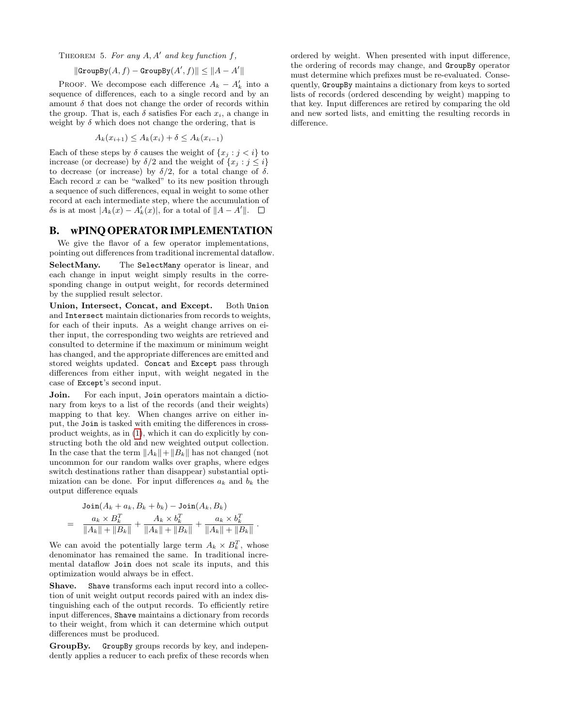THEOREM 5. For any  $A, A'$  and key function f,

$$
\| \mathtt{GroupBy}(A,f)-\mathtt{GroupBy}(A',f)\| \leq \|A-A'\|
$$

PROOF. We decompose each difference  $A_k - A'_k$  into a sequence of differences, each to a single record and by an amount  $\delta$  that does not change the order of records within the group. That is, each  $\delta$  satisfies For each  $x_i$ , a change in weight by  $\delta$  which does not change the ordering, that is

$$
A_k(x_{i+1}) \le A_k(x_i) + \delta \le A_k(x_{i-1})
$$

Each of these steps by  $\delta$  causes the weight of  $\{x_i : j < i\}$  to increase (or decrease) by  $\delta/2$  and the weight of  $\{x_i : j \leq i\}$ to decrease (or increase) by  $\delta/2$ , for a total change of  $\delta$ . Each record  $x$  can be "walked" to its new position through a sequence of such differences, equal in weight to some other record at each intermediate step, where the accumulation of δs is at most  $|A_k(x) - A'_k(x)|$ , for a total of  $||A - A'||$ .

### <span id="page-15-0"></span>B. wPINQ OPERATOR IMPLEMENTATION

We give the flavor of a few operator implementations, pointing out differences from traditional incremental dataflow.

SelectMany. The SelectMany operator is linear, and each change in input weight simply results in the corresponding change in output weight, for records determined by the supplied result selector.

Union, Intersect, Concat, and Except. Both Union and Intersect maintain dictionaries from records to weights, for each of their inputs. As a weight change arrives on either input, the corresponding two weights are retrieved and consulted to determine if the maximum or minimum weight has changed, and the appropriate differences are emitted and stored weights updated. Concat and Except pass through differences from either input, with weight negated in the case of Except's second input.

Join. For each input, Join operators maintain a dictionary from keys to a list of the records (and their weights) mapping to that key. When changes arrive on either input, the Join is tasked with emiting the differences in crossproduct weights, as in [\(1\)](#page-4-1), which it can do explicitly by constructing both the old and new weighted output collection. In the case that the term  $||A_k||+||B_k||$  has not changed (not uncommon for our random walks over graphs, where edges switch destinations rather than disappear) substantial optimization can be done. For input differences  $a_k$  and  $b_k$  the output difference equals

$$
Join(A_k + a_k, B_k + b_k) - Join(A_k, B_k)
$$
  
= 
$$
\frac{a_k \times B_k^T}{\|A_k\| + \|B_k\|} + \frac{A_k \times b_k^T}{\|A_k\| + \|B_k\|} + \frac{a_k \times b_k^T}{\|A_k\| + \|B_k\|}.
$$

We can avoid the potentially large term  $A_k \times B_k^T$ , whose denominator has remained the same. In traditional incremental dataflow Join does not scale its inputs, and this optimization would always be in effect.

Shave. Shave transforms each input record into a collection of unit weight output records paired with an index distinguishing each of the output records. To efficiently retire input differences, Shave maintains a dictionary from records to their weight, from which it can determine which output differences must be produced.

GroupBy. GroupBy groups records by key, and independently applies a reducer to each prefix of these records when ordered by weight. When presented with input difference, the ordering of records may change, and GroupBy operator must determine which prefixes must be re-evaluated. Consequently, GroupBy maintains a dictionary from keys to sorted lists of records (ordered descending by weight) mapping to that key. Input differences are retired by comparing the old and new sorted lists, and emitting the resulting records in difference.